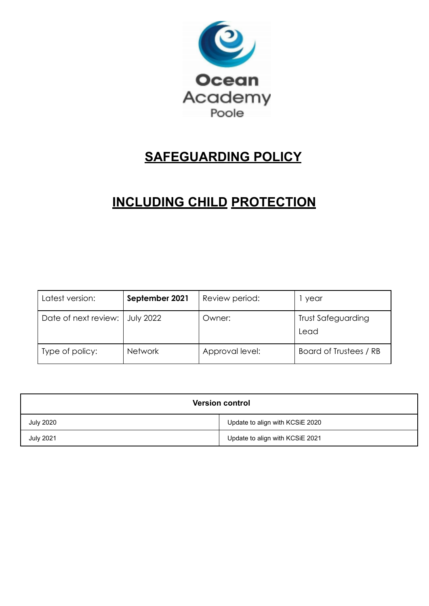

# **SAFEGUARDING POLICY**

# **INCLUDING CHILD PROTECTION**

| Latest version:      | September 2021   | Review period:  | year                              |
|----------------------|------------------|-----------------|-----------------------------------|
| Date of next review: | <b>July 2022</b> | Owner:          | <b>Trust Safeguarding</b><br>Lead |
| Type of policy:      | <b>Network</b>   | Approval level: | Board of Trustees / RB            |

| <b>Version control</b> |                                 |  |  |  |
|------------------------|---------------------------------|--|--|--|
| <b>July 2020</b>       | Update to align with KCSiE 2020 |  |  |  |
| <b>July 2021</b>       | Update to align with KCSiE 2021 |  |  |  |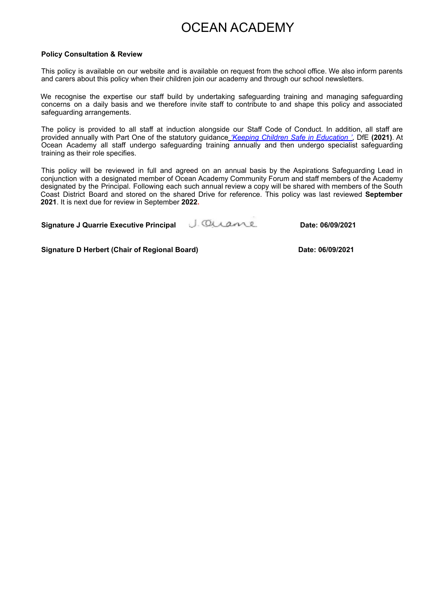## OCEAN ACADEMY

#### **Policy Consultation & Review**

This policy is available on our website and is available on request from the school office. We also inform parents and carers about this policy when their children join our academy and through our school newsletters.

We recognise the expertise our staff build by undertaking safeguarding training and managing safeguarding concerns on a daily basis and we therefore invite staff to contribute to and shape this policy and associated safeguarding arrangements.

The policy is provided to all staff at induction alongside our Staff Code of Conduct. In addition, all staff are provided annually with Part One of the statutory guidance *'Keeping Children Safe in Education '*, DfE **(2021)**. At Ocean Academy all staff undergo safeguarding training annually and then undergo specialist safeguarding training as their role specifies.

This policy will be reviewed in full and agreed on an annual basis by the Aspirations Safeguarding Lead in conjunction with a designated member of Ocean Academy Community Forum and staff members of the Academy designated by the Principal. Following each such annual review a copy will be shared with members of the South Coast District Board and stored on the shared Drive for reference. This policy was last reviewed **September 2021**. It is next due for review in September **2022.**

| <b>Signature J Quarrie Executive Principal</b> | J. Ousane | Date: 06/09/2021 |
|------------------------------------------------|-----------|------------------|
|------------------------------------------------|-----------|------------------|

**Signature D Herbert (Chair of Regional Board) Date: 06/09/2021**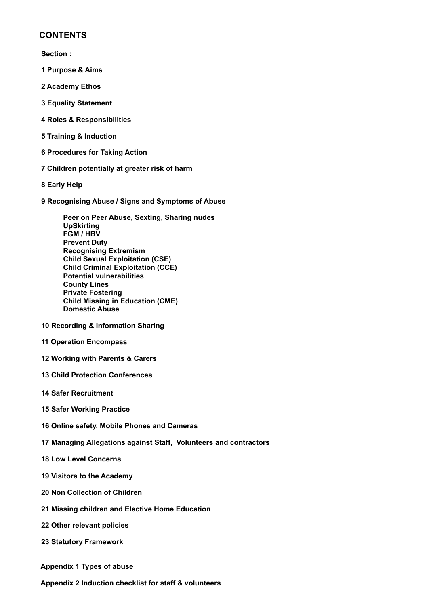#### **CONTENTS**

**Section :**

- **1 Purpose & Aims**
- **2 Academy Ethos**
- **3 Equality Statement**
- **4 Roles & Responsibilities**
- **5 Training & Induction**
- **6 Procedures for Taking Action**
- **7 Children potentially at greater risk of harm**
- **8 Early Help**
- **9 Recognising Abuse / Signs and Symptoms of Abuse**

**Peer on Peer Abuse, Sexting, Sharing nudes UpSkirting FGM / HBV Prevent Duty Recognising Extremism Child Sexual Exploitation (CSE) Child Criminal Exploitation (CCE) Potential vulnerabilities County Lines Private Fostering Child Missing in Education (CME) Domestic Abuse**

- **10 Recording & Information Sharing**
- **11 Operation Encompass**
- **12 Working with Parents & Carers**
- **13 Child Protection Conferences**
- **14 Safer Recruitment**
- **15 Safer Working Practice**
- **16 Online safety, Mobile Phones and Cameras**
- **17 Managing Allegations against Staff, Volunteers and contractors**
- **18 Low Level Concerns**
- **19 Visitors to the Academy**
- **20 Non Collection of Children**
- **21 Missing children and Elective Home Education**
- **22 Other relevant policies**
- **23 Statutory Framework**
- **Appendix 1 Types of abuse**
- **Appendix 2 Induction checklist for staff & volunteers**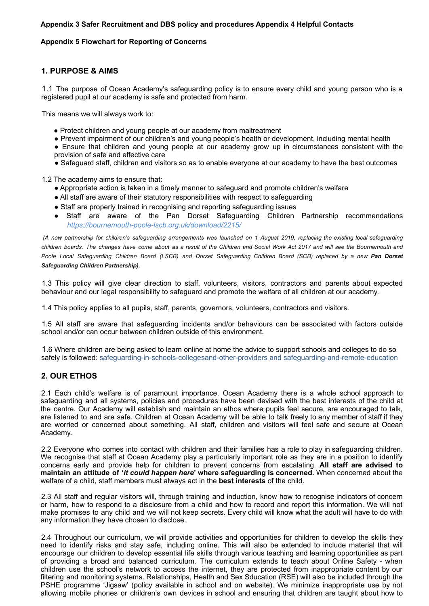#### **Appendix 3 Safer Recruitment and DBS policy and procedures Appendix 4 Helpful Contacts**

#### **Appendix 5 Flowchart for Reporting of Concerns**

#### **1. PURPOSE & AIMS**

1.1 The purpose of Ocean Academy's safeguarding policy is to ensure every child and young person who is a registered pupil at our academy is safe and protected from harm.

This means we will always work to:

- Protect children and young people at our academy from maltreatment
- Prevent impairment of our children's and young people's health or development, including mental health
- Ensure that children and young people at our academy grow up in circumstances consistent with the provision of safe and effective care
- Safeguard staff, children and visitors so as to enable everyone at our academy to have the best outcomes

1.2 The academy aims to ensure that:

- Appropriate action is taken in a timely manner to safeguard and promote children's welfare
- All staff are aware of their statutory responsibilities with respect to safeguarding
- Staff are properly trained in recognising and reporting safeguarding issues
- Staff are aware of the Pan Dorset Safeguarding Children Partnership recommendations *https://bournemouth-poole-lscb.org.uk/download/2215/*

(A new partnership for children's safeguarding arrangements was launched on 1 August 2019, replacing the existing local safeguarding children boards. The changes have come about as a result of the Children and Social Work Act 2017 and will see the Bournemouth and Poole Local Safeguarding Children Board (LSCB) and Dorset Safeguarding Children Board (SCB) replaced by a new Pan Dorset *Safeguarding Children Partnership).*

1.3 This policy will give clear direction to staff, volunteers, visitors, contractors and parents about expected behaviour and our legal responsibility to safeguard and promote the welfare of all children at our academy.

1.4 This policy applies to all pupils, staff, parents, governors, volunteers, contractors and visitors.

1.5 All staff are aware that safeguarding incidents and/or behaviours can be associated with factors outside school and/or can occur between children outside of this environment.

1.6 Where children are being asked to learn online at home the advice to support schools and colleges to do so safely is followed: safeguarding-in-schools-collegesand-other-providers and safeguarding-and-remote-education

#### **2. OUR ETHOS**

2.1 Each child's welfare is of paramount importance. Ocean Academy there is a whole school approach to safeguarding and all systems, policies and procedures have been devised with the best interests of the child at the centre. Our Academy will establish and maintain an ethos where pupils feel secure, are encouraged to talk, are listened to and are safe. Children at Ocean Academy will be able to talk freely to any member of staff if they are worried or concerned about something. All staff, children and visitors will feel safe and secure at Ocean Academy.

2.2 Everyone who comes into contact with children and their families has a role to play in safeguarding children. We recognise that staff at Ocean Academy play a particularly important role as they are in a position to identify concerns early and provide help for children to prevent concerns from escalating. **All staff are advised to maintain an attitude of '***it could happen here***' where safeguarding is concerned.** When concerned about the welfare of a child, staff members must always act in the **best interests** of the child.

2.3 All staff and regular visitors will, through training and induction, know how to recognise indicators of concern or harm, how to respond to a disclosure from a child and how to record and report this information. We will not make promises to any child and we will not keep secrets. Every child will know what the adult will have to do with any information they have chosen to disclose.

2.4 Throughout our curriculum, we will provide activities and opportunities for children to develop the skills they need to identify risks and stay safe, including online. This will also be extended to include material that will encourage our children to develop essential life skills through various teaching and learning opportunities as part of providing a broad and balanced curriculum. The curriculum extends to teach about Online Safety - when children use the school's network to access the internet, they are protected from inappropriate content by our filtering and monitoring systems. Relationships, Health and Sex Sducation (RSE) will also be included through the PSHE programme 'Jigsaw' (policy available in school and on website). We minimize inappropriate use by not allowing mobile phones or children's own devices in school and ensuring that children are taught about how to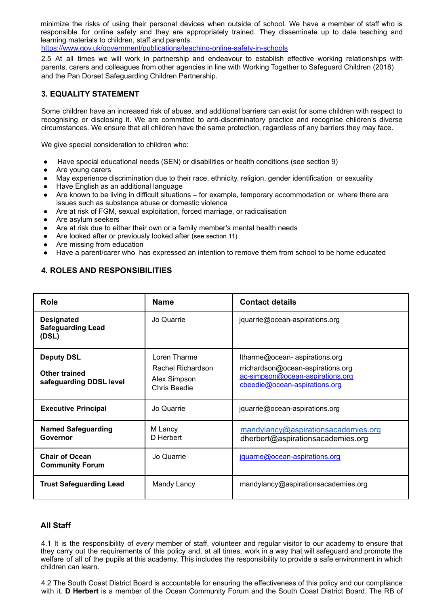minimize the risks of using their personal devices when outside of school. We have a member of staff who is responsible for online safety and they are appropriately trained. They disseminate up to date teaching and learning materials to children, staff and parents.

https://www.gov.uk/government/publications/teaching-online-safety-in-schools

2.5 At all times we will work in partnership and endeavour to establish effective working relationships with parents, carers and colleagues from other agencies in line with Working Together to Safeguard Children (2018) and the Pan Dorset Safeguarding Children Partnership.

#### **3. EQUALITY STATEMENT**

Some children have an increased risk of abuse, and additional barriers can exist for some children with respect to recognising or disclosing it. We are committed to anti-discriminatory practice and recognise children's diverse circumstances. We ensure that all children have the same protection, regardless of any barriers they may face.

We give special consideration to children who:

- Have special educational needs (SEN) or disabilities or health conditions (see section 9)
- Are young carers
- May experience discrimination due to their race, ethnicity, religion, gender identification or sexuality
- Have English as an additional language
- Are known to be living in difficult situations for example, temporary accommodation or where there are issues such as substance abuse or domestic violence
- Are at risk of FGM, sexual exploitation, forced marriage, or radicalisation
- Are asylum seekers
- Are at risk due to either their own or a family member's mental health needs
- Are looked after or previously looked after (see section 11)
- Are missing from education
- Have a parent/carer who has expressed an intention to remove them from school to be home educated

#### **4. ROLES AND RESPONSIBILITIES**

| <b>Role</b>                                                   | <b>Name</b>                                                       | <b>Contact details</b>                                                                                                                  |
|---------------------------------------------------------------|-------------------------------------------------------------------|-----------------------------------------------------------------------------------------------------------------------------------------|
| <b>Designated</b><br><b>Safeguarding Lead</b><br>(DSL)        | Jo Quarrie                                                        | jquarrie@ocean-aspirations.org                                                                                                          |
| <b>Deputy DSL</b><br>Other trained<br>safeguarding DDSL level | Loren Tharme<br>Rachel Richardson<br>Alex Simpson<br>Chris Beedie | Itharme@ocean-aspirations.org<br>rrichardson@ocean-aspirations.org<br>ac-simpson@ocean-aspirations.org<br>cbeedie@ocean-aspirations.org |
| <b>Executive Principal</b>                                    | Jo Quarrie                                                        | jquarrie@ocean-aspirations.org                                                                                                          |
| <b>Named Safeguarding</b><br>Governor                         | M Lancy<br>D Herbert                                              | mandylancy@aspirationsacademies.org<br>dherbert@aspirationsacademies.org                                                                |
| <b>Chair of Ocean</b><br><b>Community Forum</b>               | Jo Quarrie                                                        | jquarrie@ocean-aspirations.org                                                                                                          |
| <b>Trust Safeguarding Lead</b>                                | Mandy Lancy                                                       | mandylancy@aspirationsacademies.org                                                                                                     |

#### **All Staff**

4.1 It is the responsibility of *every* member of staff, volunteer and regular visitor to our academy to ensure that they carry out the requirements of this policy and, at all times, work in a way that will safeguard and promote the welfare of all of the pupils at this academy. This includes the responsibility to provide a safe environment in which children can learn.

4.2 The South Coast District Board is accountable for ensuring the effectiveness of this policy and our compliance with it. **D Herbert** is a member of the Ocean Community Forum and the South Coast District Board. The RB of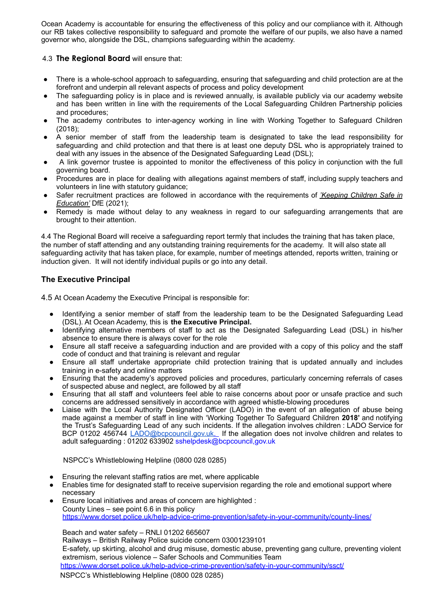Ocean Academy is accountable for ensuring the effectiveness of this policy and our compliance with it. Although our RB takes collective responsibility to safeguard and promote the welfare of our pupils, we also have a named governor who, alongside the DSL, champions safeguarding within the academy.

#### 4.3 **The Regional Board** will ensure that:

- There is a whole-school approach to safeguarding, ensuring that safeguarding and child protection are at the forefront and underpin all relevant aspects of process and policy development
- The safeguarding policy is in place and is reviewed annually, is available publicly via our academy website and has been written in line with the requirements of the Local Safeguarding Children Partnership policies and procedures;
- The academy contributes to inter-agency working in line with Working Together to Safeguard Children (2018);
- A senior member of staff from the leadership team is designated to take the lead responsibility for safeguarding and child protection and that there is at least one deputy DSL who is appropriately trained to deal with any issues in the absence of the Designated Safeguarding Lead (DSL);
- A link governor trustee is appointed to monitor the effectiveness of this policy in conjunction with the full governing board.
- Procedures are in place for dealing with allegations against members of staff, including supply teachers and volunteers in line with statutory guidance;
- Safer recruitment practices are followed in accordance with the requirements of *['Keeping](https://www.gov.uk/government/publications/keeping-children-safe-in-education--2) Children Safe in [Education'](https://www.gov.uk/government/publications/keeping-children-safe-in-education--2)* DfE (2021);
- Remedy is made without delay to any weakness in regard to our safeguarding arrangements that are brought to their attention.

4.4 The Regional Board will receive a safeguarding report termly that includes the training that has taken place, the number of staff attending and any outstanding training requirements for the academy. It will also state all safeguarding activity that has taken place, for example, number of meetings attended, reports written, training or induction given. It will not identify individual pupils or go into any detail.

#### **The Executive Principal**

4.5 At Ocean Academy the Executive Principal is responsible for:

- Identifying a senior member of staff from the leadership team to be the Designated Safeguarding Lead (DSL). At Ocean Academy, this is **the Executive Principal.**
- Identifying alternative members of staff to act as the Designated Safeguarding Lead (DSL) in his/her absence to ensure there is always cover for the role
- Ensure all staff receive a safeguarding induction and are provided with a copy of this policy and the staff code of conduct and that training is relevant and regular
- Ensure all staff undertake appropriate child protection training that is updated annually and includes training in e-safety and online matters
- Ensuring that the academy's approved policies and procedures, particularly concerning referrals of cases of suspected abuse and neglect, are followed by all staff
- Ensuring that all staff and volunteers feel able to raise concerns about poor or unsafe practice and such concerns are addressed sensitively in accordance with agreed whistle-blowing procedures
- Liaise with the Local Authority Designated Officer (LADO) in the event of an allegation of abuse being made against a member of staff in line with 'Working Together To Safeguard Children **2018'** and notifying the Trust's Safeguarding Lead of any such incidents. If the allegation involves children : LADO Service for BCP 01202 456744 [LADO@bcpcouncil.gov.uk](mailto:LADO@bcpcouncil.gov.uk). If the allegation does not involve children and relates to adult safeguarding : 01202 633902 sshelpdesk@bcpcouncil,gov.uk

#### NSPCC's Whistleblowing Helpline (0800 028 0285)

- Ensuring the relevant staffing ratios are met, where applicable
- Enables time for designated staff to receive supervision regarding the role and emotional support where necessary
- Ensure local initiatives and areas of concern are highlighted : County Lines – see point 6.6 in this policy https://www.dorset.police.uk/help-advice-crime-prevention/safety-in-your-community/county-lines/

Beach and water safety – RNLI 01202 665607

Railways – British Railway Police suicide concern 03001239101 E-safety, up skirting, alcohol and drug misuse, domestic abuse, preventing gang culture, preventing violent extremism, serious violence – Safer Schools and Communities Team

https://www.dorset.police.uk/help-advice-crime-prevention/safety-in-your-community/ssct/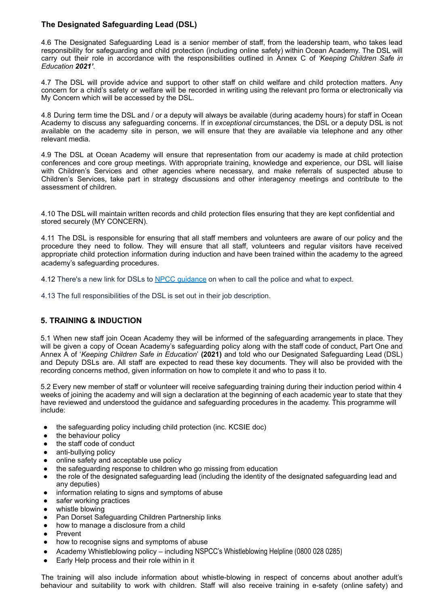#### **The Designated Safeguarding Lead (DSL)**

4.6 The Designated Safeguarding Lead is a senior member of staff, from the leadership team, who takes lead responsibility for safeguarding and child protection (including online safety) within Ocean Academy. The DSL will carry out their role in accordance with the responsibilities outlined in Annex C of *'Keeping Children Safe in Education 2021'.*

4.7 The DSL will provide advice and support to other staff on child welfare and child protection matters. Any concern for a child's safety or welfare will be recorded in writing using the relevant pro forma or electronically via My Concern which will be accessed by the DSL.

4.8 During term time the DSL and / or a deputy will always be available (during academy hours) for staff in Ocean Academy to discuss any safeguarding concerns. If in *exceptional* circumstances, the DSL or a deputy DSL is not available on the academy site in person, we will ensure that they are available via telephone and any other relevant media.

4.9 The DSL at Ocean Academy will ensure that representation from our academy is made at child protection conferences and core group meetings. With appropriate training, knowledge and experience, our DSL will liaise with Children's Services and other agencies where necessary, and make referrals of suspected abuse to Children's Services, take part in strategy discussions and other interagency meetings and contribute to the assessment of children.

4.10 The DSL will maintain written records and child protection files ensuring that they are kept confidential and stored securely (MY CONCERN).

4.11 The DSL is responsible for ensuring that all staff members and volunteers are aware of our policy and the procedure they need to follow. They will ensure that all staff, volunteers and regular visitors have received appropriate child protection information during induction and have been trained within the academy to the agreed academy's safeguarding procedures.

4.12 There's a new link for DSLs to NPCC quidance on when to call the police and what to expect.

4.13 The full responsibilities of the DSL is set out in their job description.

#### **5. TRAINING & INDUCTION**

5.1 When new staff join Ocean Academy they will be informed of the safeguarding arrangements in place. They will be given a copy of Ocean Academy's safeguarding policy along with the staff code of conduct, Part One and Annex A of '*Keeping Children Safe in Education*' **(2021)** and told who our Designated Safeguarding Lead (DSL) and Deputy DSLs are. All staff are expected to read these key documents. They will also be provided with the recording concerns method, given information on how to complete it and who to pass it to.

5.2 Every new member of staff or volunteer will receive safeguarding training during their induction period within 4 weeks of joining the academy and will sign a declaration at the beginning of each academic year to state that they have reviewed and understood the guidance and safeguarding procedures in the academy. This programme will include:

- the safeguarding policy including child protection (inc. KCSIE doc)
- the behaviour policy
- the staff code of conduct
- anti-bullying policy
- online safety and acceptable use policy
- the safeguarding response to children who go missing from education
- the role of the designated safeguarding lead (including the identity of the designated safeguarding lead and any deputies)
- information relating to signs and symptoms of abuse
- safer working practices
- whistle blowing
- Pan Dorset Safeguarding Children Partnership links
- how to manage a disclosure from a child
- **Prevent**
- how to recognise signs and symptoms of abuse
- Academy Whistleblowing policy including NSPCC's Whistleblowing Helpline (0800 028 0285)
- Early Help process and their role within in it

The training will also include information about whistle-blowing in respect of concerns about another adult's behaviour and suitability to work with children. Staff will also receive training in e-safety (online safety) and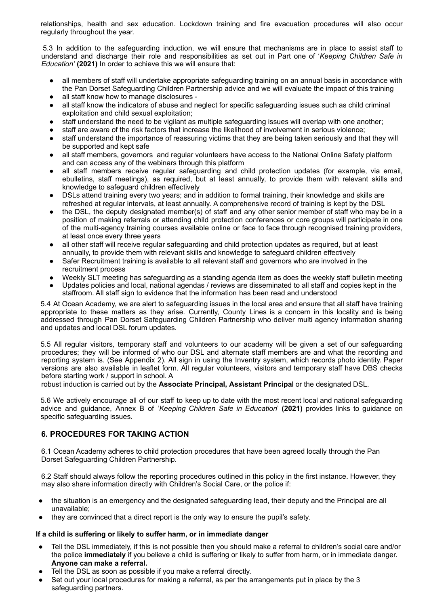relationships, health and sex education. Lockdown training and fire evacuation procedures will also occur regularly throughout the year.

5.3 In addition to the safeguarding induction, we will ensure that mechanisms are in place to assist staff to understand and discharge their role and responsibilities as set out in Part one of '*Keeping Children Safe in Education'* **(2021)** In order to achieve this we will ensure that:

- all members of staff will undertake appropriate safeguarding training on an annual basis in accordance with the Pan Dorset Safeguarding Children Partnership advice and we will evaluate the impact of this training
- all staff know how to manage disclosures -
- all staff know the indicators of abuse and neglect for specific safeguarding issues such as child criminal exploitation and child sexual exploitation;
- staff understand the need to be vigilant as multiple safeguarding issues will overlap with one another;
- staff are aware of the risk factors that increase the likelihood of involvement in serious violence;
- staff understand the importance of reassuring victims that they are being taken seriously and that they will be supported and kept safe
- all staff members, governors and regular volunteers have access to the National Online Safety platform and can access any of the webinars through this platform
- all staff members receive regular safeguarding and child protection updates (for example, via email, ebulletins, staff meetings), as required, but at least annually, to provide them with relevant skills and knowledge to safeguard children effectively
- DSLs attend training every two years; and in addition to formal training, their knowledge and skills are refreshed at regular intervals, at least annually. A comprehensive record of training is kept by the DSL
- the DSL, the deputy designated member(s) of staff and any other senior member of staff who may be in a position of making referrals or attending child protection conferences or core groups will participate in one of the multi-agency training courses available online or face to face through recognised training providers, at least once every three years
- all other staff will receive regular safeguarding and child protection updates as required, but at least annually, to provide them with relevant skills and knowledge to safeguard children effectively
- Safer Recruitment training is available to all relevant staff and governors who are involved in the recruitment process
- Weekly SLT meeting has safeguarding as a standing agenda item as does the weekly staff bulletin meeting
- Updates policies and local, national agendas / reviews are disseminated to all staff and copies kept in the staffroom. All staff sign to evidence that the information has been read and understood

5.4 At Ocean Academy, we are alert to safeguarding issues in the local area and ensure that all staff have training appropriate to these matters as they arise. Currently, County Lines is a concern in this locality and is being addressed through Pan Dorset Safeguarding Children Partnership who deliver multi agency information sharing and updates and local DSL forum updates.

5.5 All regular visitors, temporary staff and volunteers to our academy will be given a set of our safeguarding procedures; they will be informed of who our DSL and alternate staff members are and what the recording and reporting system is. (See Appendix 2). All sign in using the Inventry system, which records photo identity. Paper versions are also available in leaflet form. All regular volunteers, visitors and temporary staff have DBS checks before starting work / support in school. A

robust induction is carried out by the **Associate Principal, Assistant Principa**l or the designated DSL.

5.6 We actively encourage all of our staff to keep up to date with the most recent local and national safeguarding advice and guidance, Annex B of '*Keeping Children Safe in Education*' **(2021)** provides links to guidance on specific safeguarding issues.

#### **6. PROCEDURES FOR TAKING ACTION**

6.1 Ocean Academy adheres to child protection procedures that have been agreed locally through the Pan Dorset Safeguarding Children Partnership.

6.2 Staff should always follow the reporting procedures outlined in this policy in the first instance. However, they may also share information directly with Children's Social Care, or the police if:

- the situation is an emergency and the designated safeguarding lead, their deputy and the Principal are all unavailable;
- they are convinced that a direct report is the only way to ensure the pupil's safety.

#### **If a child is suffering or likely to suffer harm, or in immediate danger**

- Tell the DSL immediately, if this is not possible then you should make a referral to children's social care and/or the police **immediately** if you believe a child is suffering or likely to suffer from harm, or in immediate danger. **Anyone can make a referral.**
- Tell the DSL as soon as possible if you make a referral directly.
- Set out your local procedures for making a referral, as per the arrangements put in place by the 3 safeguarding partners.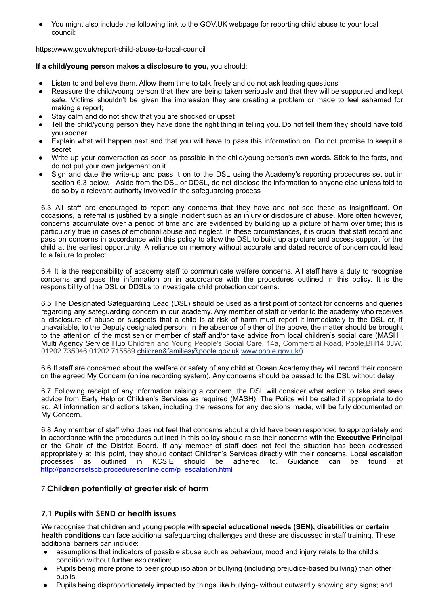You might also include the following link to the GOV.UK webpage for reporting child abuse to your local council:

#### <https://www.gov.uk/report-child-abuse-to-local-council>

#### **If a child/young person makes a disclosure to you,** you should:

- Listen to and believe them. Allow them time to talk freely and do not ask leading questions
- Reassure the child/young person that they are being taken seriously and that they will be supported and kept safe. Victims shouldn't be given the impression they are creating a problem or made to feel ashamed for making a report;
- Stay calm and do not show that you are shocked or upset
- Tell the child/young person they have done the right thing in telling you. Do not tell them they should have told you sooner
- Explain what will happen next and that you will have to pass this information on. Do not promise to keep it a secret
- Write up your conversation as soon as possible in the child/young person's own words. Stick to the facts, and do not put your own judgement on it
- Sign and date the write-up and pass it on to the DSL using the Academy's reporting procedures set out in section 6.3 below. Aside from the DSL or DDSL, do not disclose the information to anyone else unless told to do so by a relevant authority involved in the safeguarding process

6.3 All staff are encouraged to report any concerns that they have and not see these as insignificant. On occasions, a referral is justified by a single incident such as an injury or disclosure of abuse. More often however, concerns accumulate over a period of time and are evidenced by building up a picture of harm over time; this is particularly true in cases of emotional abuse and neglect. In these circumstances, it is crucial that staff record and pass on concerns in accordance with this policy to allow the DSL to build up a picture and access support for the child at the earliest opportunity. A reliance on memory without accurate and dated records of concern could lead to a failure to protect.

6.4 It is the responsibility of academy staff to communicate welfare concerns. All staff have a duty to recognise concerns and pass the information on in accordance with the procedures outlined in this policy. It is the responsibility of the DSL or DDSLs to investigate child protection concerns.

6.5 The Designated Safeguarding Lead (DSL) should be used as a first point of contact for concerns and queries regarding any safeguarding concern in our academy. Any member of staff or visitor to the academy who receives a disclosure of abuse or suspects that a child is at risk of harm must report it immediately to the DSL or, if unavailable, to the Deputy designated person. In the absence of either of the above, the matter should be brought to the attention of the most senior member of staff and/or take advice from local children's social care (MASH : Multi Agency Service Hub Children and Young People's Social Care, 14a, Commercial Road, Poole,BH14 0JW. 01202 735046 01202 715589 children&families@poole.gov.uk www.poole.gov.uk/)

6.6 If staff are concerned about the welfare or safety of any child at Ocean Academy they will record their concern on the agreed My Concern (online recording system). Any concerns should be passed to the DSL without delay.

6.7 Following receipt of any information raising a concern, the DSL will consider what action to take and seek advice from Early Help or Children's Services as required (MASH). The Police will be called if appropriate to do so. All information and actions taken, including the reasons for any decisions made, will be fully documented on My Concern.

6.8 Any member of staff who does not feel that concerns about a child have been responded to appropriately and in accordance with the procedures outlined in this policy should raise their concerns with the **Executive Principal** or the Chair of the District Board. If any member of staff does not feel the situation has been addressed appropriately at this point, they should contact Children's Services directly with their concerns. Local escalation processes as outlined in KCSIE should be adhered to. Guidance can be found at http://pandorsetscb.proceduresonline.com/p\_escalation.html

#### 7.**Children potentially at greater risk of harm**

#### **7.1 Pupils with SEND or health issues**

We recognise that children and young people with **special educational needs (SEN), disabilities or certain health conditions** can face additional safeguarding challenges and these are discussed in staff training. These additional barriers can include:

- assumptions that indicators of possible abuse such as behaviour, mood and injury relate to the child's condition without further exploration;
- Pupils being more prone to peer group isolation or bullying (including prejudice-based bullying) than other pupils
- Pupils being disproportionately impacted by things like bullying- without outwardly showing any signs; and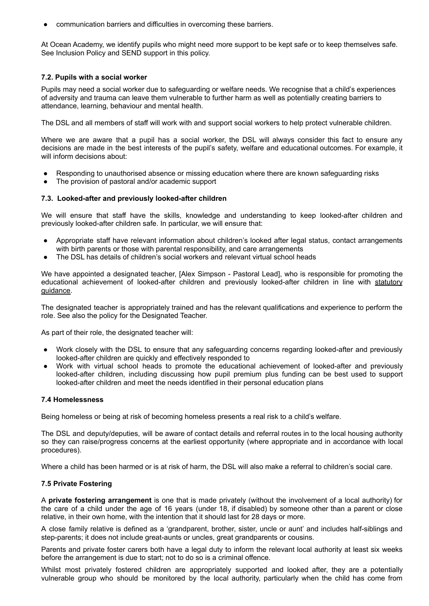communication barriers and difficulties in overcoming these barriers.

At Ocean Academy, we identify pupils who might need more support to be kept safe or to keep themselves safe. See Inclusion Policy and SEND support in this policy.

#### **7.2. Pupils with a social worker**

Pupils may need a social worker due to safeguarding or welfare needs. We recognise that a child's experiences of adversity and trauma can leave them vulnerable to further harm as well as potentially creating barriers to attendance, learning, behaviour and mental health.

The DSL and all members of staff will work with and support social workers to help protect vulnerable children.

Where we are aware that a pupil has a social worker, the DSL will always consider this fact to ensure any decisions are made in the best interests of the pupil's safety, welfare and educational outcomes. For example, it will inform decisions about:

- Responding to unauthorised absence or missing education where there are known safeguarding risks
- The provision of pastoral and/or academic support

#### **7.3. Looked-after and previously looked-after children**

We will ensure that staff have the skills, knowledge and understanding to keep looked-after children and previously looked-after children safe. In particular, we will ensure that:

- Appropriate staff have relevant information about children's looked after legal status, contact arrangements with birth parents or those with parental responsibility, and care arrangements
- The DSL has details of children's social workers and relevant virtual school heads

We have appointed a designated teacher, [Alex Simpson - Pastoral Lead], who is responsible for promoting the educational achievement of looked-after children and previously looked-after children in line with [statutory](https://www.gov.uk/government/publications/designated-teacher-for-looked-after-children) [guidance.](https://www.gov.uk/government/publications/designated-teacher-for-looked-after-children)

The designated teacher is appropriately trained and has the relevant qualifications and experience to perform the role. See also the policy for the Designated Teacher.

As part of their role, the designated teacher will:

- Work closely with the DSL to ensure that any safeguarding concerns regarding looked-after and previously looked-after children are quickly and effectively responded to
- Work with virtual school heads to promote the educational achievement of looked-after and previously looked-after children, including discussing how pupil premium plus funding can be best used to support looked-after children and meet the needs identified in their personal education plans

#### **7.4 Homelessness**

Being homeless or being at risk of becoming homeless presents a real risk to a child's welfare.

The DSL and deputy/deputies, will be aware of contact details and referral routes in to the local housing authority so they can raise/progress concerns at the earliest opportunity (where appropriate and in accordance with local procedures).

Where a child has been harmed or is at risk of harm, the DSL will also make a referral to children's social care.

#### **7.5 Private Fostering**

A **private fostering arrangement** is one that is made privately (without the involvement of a local authority) for the care of a child under the age of 16 years (under 18, if disabled) by someone other than a parent or close relative, in their own home, with the intention that it should last for 28 days or more.

A close family relative is defined as a 'grandparent, brother, sister, uncle or aunt' and includes half-siblings and step-parents; it does not include great-aunts or uncles, great grandparents or cousins.

Parents and private foster carers both have a legal duty to inform the relevant local authority at least six weeks before the arrangement is due to start; not to do so is a criminal offence.

Whilst most privately fostered children are appropriately supported and looked after, they are a potentially vulnerable group who should be monitored by the local authority, particularly when the child has come from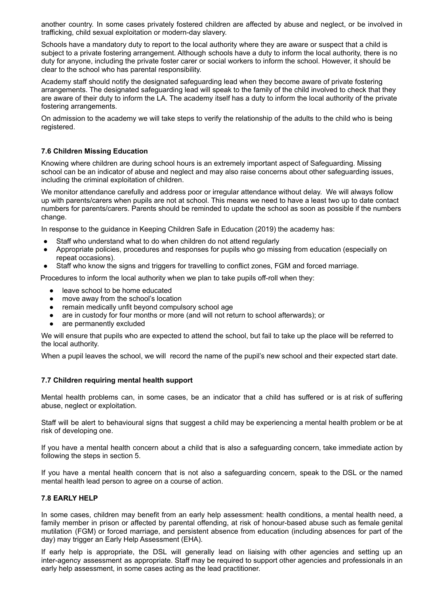another country. In some cases privately fostered children are affected by abuse and neglect, or be involved in trafficking, child sexual exploitation or modern-day slavery.

Schools have a mandatory duty to report to the local authority where they are aware or suspect that a child is subject to a private fostering arrangement. Although schools have a duty to inform the local authority, there is no duty for anyone, including the private foster carer or social workers to inform the school. However, it should be clear to the school who has parental responsibility.

Academy staff should notify the designated safeguarding lead when they become aware of private fostering arrangements. The designated safeguarding lead will speak to the family of the child involved to check that they are aware of their duty to inform the LA. The academy itself has a duty to inform the local authority of the private fostering arrangements.

On admission to the academy we will take steps to verify the relationship of the adults to the child who is being registered.

#### **7.6 Children Missing Education**

Knowing where children are during school hours is an extremely important aspect of Safeguarding. Missing school can be an indicator of abuse and neglect and may also raise concerns about other safeguarding issues, including the criminal exploitation of children.

We monitor attendance carefully and address poor or irregular attendance without delay. We will always follow up with parents/carers when pupils are not at school. This means we need to have a least two up to date contact numbers for parents/carers. Parents should be reminded to update the school as soon as possible if the numbers change.

In response to the guidance in Keeping Children Safe in Education (2019) the academy has:

- Staff who understand what to do when children do not attend regularly
- Appropriate policies, procedures and responses for pupils who go missing from education (especially on repeat occasions).
- Staff who know the signs and triggers for travelling to conflict zones, FGM and forced marriage.

Procedures to inform the local authority when we plan to take pupils off-roll when they:

- leave school to be home educated
- move away from the school's location
- remain medically unfit beyond compulsory school age
- are in custody for four months or more (and will not return to school afterwards); or
- are permanently excluded

We will ensure that pupils who are expected to attend the school, but fail to take up the place will be referred to the local authority.

When a pupil leaves the school, we will record the name of the pupil's new school and their expected start date.

#### **7.7 Children requiring mental health support**

Mental health problems can, in some cases, be an indicator that a child has suffered or is at risk of suffering abuse, neglect or exploitation.

Staff will be alert to behavioural signs that suggest a child may be experiencing a mental health problem or be at risk of developing one.

If you have a mental health concern about a child that is also a safeguarding concern, take immediate action by following the steps in section 5.

If you have a mental health concern that is not also a safeguarding concern, speak to the DSL or the named mental health lead person to agree on a course of action.

#### **7.8 EARLY HELP**

In some cases, children may benefit from an early help assessment: health conditions, a mental health need, a family member in prison or affected by parental offending, at risk of honour-based abuse such as female genital mutilation (FGM) or forced marriage, and persistent absence from education (including absences for part of the day) may trigger an Early Help Assessment (EHA).

If early help is appropriate, the DSL will generally lead on liaising with other agencies and setting up an inter-agency assessment as appropriate. Staff may be required to support other agencies and professionals in an early help assessment, in some cases acting as the lead practitioner.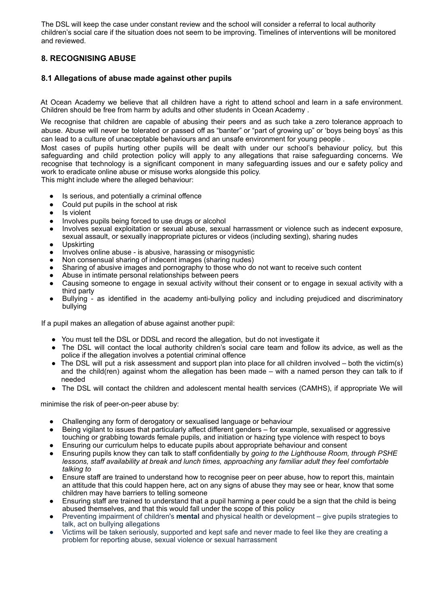The DSL will keep the case under constant review and the school will consider a referral to local authority children's social care if the situation does not seem to be improving. Timelines of interventions will be monitored and reviewed.

#### **8. RECOGNISING ABUSE**

#### **8.1 Allegations of abuse made against other pupils**

At Ocean Academy we believe that all children have a right to attend school and learn in a safe environment. Children should be free from harm by adults and other students in Ocean Academy .

We recognise that children are capable of abusing their peers and as such take a zero tolerance approach to abuse. Abuse will never be tolerated or passed off as "banter" or "part of growing up" or 'boys being boys' as this can lead to a culture of unacceptable behaviours and an unsafe environment for young people .

Most cases of pupils hurting other pupils will be dealt with under our school's behaviour policy, but this safeguarding and child protection policy will apply to any allegations that raise safeguarding concerns. We recognise that technology is a significant component in many safeguarding issues and our e safety policy and work to eradicate online abuse or misuse works alongside this policy.

This might include where the alleged behaviour:

- Is serious, and potentially a criminal offence
- Could put pupils in the school at risk
- Is violent
- Involves pupils being forced to use drugs or alcohol
- Involves sexual exploitation or sexual abuse, sexual harrassment or violence such as indecent exposure, sexual assault, or sexually inappropriate pictures or videos (including sexting), sharing nudes
- **Upskirting**
- Involves online abuse is abusive, harassing or misogynistic
- Non consensual sharing of indecent images (sharing nudes)
- Sharing of abusive images and pornography to those who do not want to receive such content
- Abuse in intimate personal relationships between peers
- Causing someone to engage in sexual activity without their consent or to engage in sexual activity with a third party
- Bullying as identified in the academy anti-bullying policy and including prejudiced and discriminatory bullying

If a pupil makes an allegation of abuse against another pupil:

- You must tell the DSL or DDSL and record the allegation, but do not investigate it
- The DSL will contact the local authority children's social care team and follow its advice, as well as the police if the allegation involves a potential criminal offence
- The DSL will put a risk assessment and support plan into place for all children involved both the victim(s) and the child(ren) against whom the allegation has been made – with a named person they can talk to if needed
- The DSL will contact the children and adolescent mental health services (CAMHS), if appropriate We will

minimise the risk of peer-on-peer abuse by:

- Challenging any form of derogatory or sexualised language or behaviour
- Being vigilant to issues that particularly affect different genders for example, sexualised or aggressive touching or grabbing towards female pupils, and initiation or hazing type violence with respect to boys
- Ensuring our curriculum helps to educate pupils about appropriate behaviour and consent
- Ensuring pupils know they can talk to staff confidentially by *going to the Lighthouse Room, through PSHE lessons, staff availability at break and lunch times, approaching any familiar adult they feel comfortable talking to*
- Ensure staff are trained to understand how to recognise peer on peer abuse, how to report this, maintain an attitude that this could happen here, act on any signs of abuse they may see or hear, know that some children may have barriers to telling someone
- Ensuring staff are trained to understand that a pupil harming a peer could be a sign that the child is being abused themselves, and that this would fall under the scope of this policy
- Preventing impairment of children's **mental** and physical health or development give pupils strategies to talk, act on bullying allegations
- Victims will be taken seriously, supported and kept safe and never made to feel like they are creating a problem for reporting abuse, sexual violence or sexual harrassment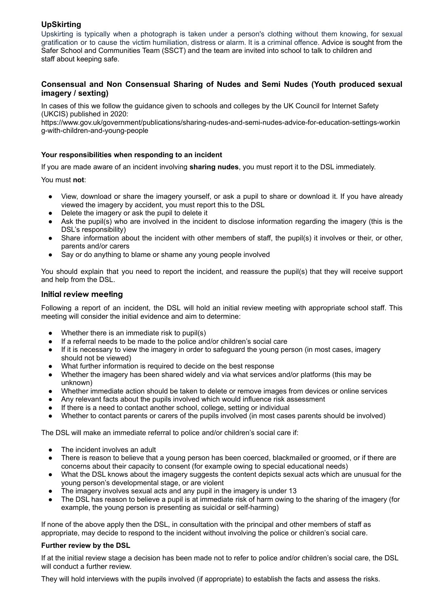#### **UpSkirting**

Upskirting is typically when a photograph is taken under a person's clothing without them knowing, for sexual gratification or to cause the victim humiliation, distress or alarm. It is a criminal offence. Advice is sought from the Safer School and Communities Team (SSCT) and the team are invited into school to talk to children and staff about keeping safe.

#### **Consensual and Non Consensual Sharing of Nudes and Semi Nudes (Youth produced sexual imagery / sexting)**

In cases of this we follow the guidance given to schools and colleges by the UK Council for Internet Safety (UKCIS) published in 2020:

https://www.gov.uk/government/publications/sharing-nudes-and-semi-nudes-advice-for-education-settings-workin g-with-children-and-young-people

#### **Your responsibilities when responding to an incident**

If you are made aware of an incident involving **sharing nudes**, you must report it to the DSL immediately.

You must **not**:

- View, download or share the imagery yourself, or ask a pupil to share or download it. If you have already viewed the imagery by accident, you must report this to the DSL
- Delete the imagery or ask the pupil to delete it
- Ask the pupil(s) who are involved in the incident to disclose information regarding the imagery (this is the DSL's responsibility)
- Share information about the incident with other members of staff, the pupil(s) it involves or their, or other, parents and/or carers
- Say or do anything to blame or shame any young people involved

You should explain that you need to report the incident, and reassure the pupil(s) that they will receive support and help from the DSL.

#### **Initial review meeting**

Following a report of an incident, the DSL will hold an initial review meeting with appropriate school staff. This meeting will consider the initial evidence and aim to determine:

- Whether there is an immediate risk to pupil(s)
- If a referral needs to be made to the police and/or children's social care
- If it is necessary to view the imagery in order to safeguard the young person (in most cases, imagery should not be viewed)
- What further information is required to decide on the best response
- Whether the imagery has been shared widely and via what services and/or platforms (this may be unknown)
- Whether immediate action should be taken to delete or remove images from devices or online services
- Any relevant facts about the pupils involved which would influence risk assessment
- If there is a need to contact another school, college, setting or individual
- Whether to contact parents or carers of the pupils involved (in most cases parents should be involved)

The DSL will make an immediate referral to police and/or children's social care if:

- The incident involves an adult
- There is reason to believe that a young person has been coerced, blackmailed or groomed, or if there are concerns about their capacity to consent (for example owing to special educational needs)
- What the DSL knows about the imagery suggests the content depicts sexual acts which are unusual for the young person's developmental stage, or are violent
- The imagery involves sexual acts and any pupil in the imagery is under 13
- The DSL has reason to believe a pupil is at immediate risk of harm owing to the sharing of the imagery (for example, the young person is presenting as suicidal or self-harming)

If none of the above apply then the DSL, in consultation with the principal and other members of staff as appropriate, may decide to respond to the incident without involving the police or children's social care.

#### **Further review by the DSL**

If at the initial review stage a decision has been made not to refer to police and/or children's social care, the DSL will conduct a further review.

They will hold interviews with the pupils involved (if appropriate) to establish the facts and assess the risks.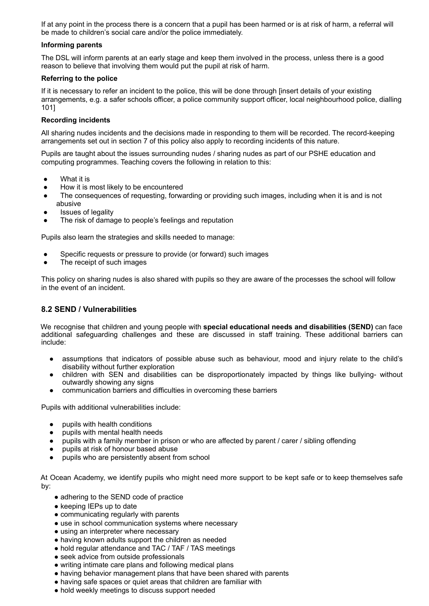If at any point in the process there is a concern that a pupil has been harmed or is at risk of harm, a referral will be made to children's social care and/or the police immediately.

#### **Informing parents**

The DSL will inform parents at an early stage and keep them involved in the process, unless there is a good reason to believe that involving them would put the pupil at risk of harm.

#### **Referring to the police**

If it is necessary to refer an incident to the police, this will be done through [insert details of your existing arrangements, e.g. a safer schools officer, a police community support officer, local neighbourhood police, dialling 101]

#### **Recording incidents**

All sharing nudes incidents and the decisions made in responding to them will be recorded. The record-keeping arrangements set out in section 7 of this policy also apply to recording incidents of this nature.

Pupils are taught about the issues surrounding nudes / sharing nudes as part of our PSHE education and computing programmes. Teaching covers the following in relation to this:

- What it is
- How it is most likely to be encountered
- The consequences of requesting, forwarding or providing such images, including when it is and is not abusive
- Issues of legality
- The risk of damage to people's feelings and reputation

Pupils also learn the strategies and skills needed to manage:

- Specific requests or pressure to provide (or forward) such images
- The receipt of such images

This policy on sharing nudes is also shared with pupils so they are aware of the processes the school will follow in the event of an incident.

#### **8.2 SEND / Vulnerabilities**

We recognise that children and young people with **special educational needs and disabilities (SEND)** can face additional safeguarding challenges and these are discussed in staff training. These additional barriers can include:

- assumptions that indicators of possible abuse such as behaviour, mood and injury relate to the child's disability without further exploration
- children with SEN and disabilities can be disproportionately impacted by things like bullying- without outwardly showing any signs
- communication barriers and difficulties in overcoming these barriers

Pupils with additional vulnerabilities include:

- pupils with health conditions
- pupils with mental health needs
- pupils with a family member in prison or who are affected by parent / carer / sibling offending
- pupils at risk of honour based abuse
- pupils who are persistently absent from school

At Ocean Academy, we identify pupils who might need more support to be kept safe or to keep themselves safe by:

- adhering to the SEND code of practice
- keeping IEPs up to date
- communicating regularly with parents
- use in school communication systems where necessary
- using an interpreter where necessary
- having known adults support the children as needed
- hold regular attendance and TAC / TAF / TAS meetings
- seek advice from outside professionals
- writing intimate care plans and following medical plans
- having behavior management plans that have been shared with parents
- having safe spaces or quiet areas that children are familiar with
- hold weekly meetings to discuss support needed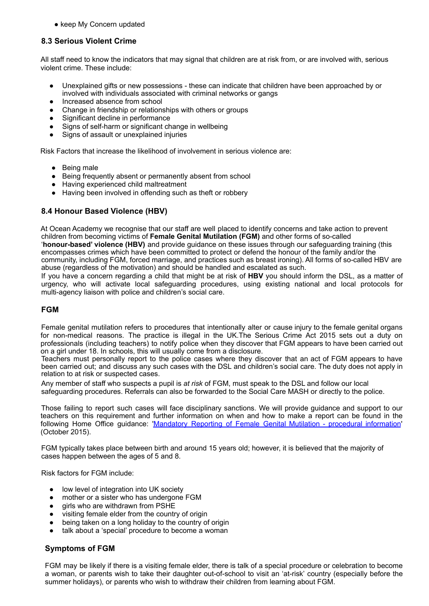• keep My Concern updated

#### **8.3 Serious Violent Crime**

All staff need to know the indicators that may signal that children are at risk from, or are involved with, serious violent crime. These include:

- Unexplained gifts or new possessions these can indicate that children have been approached by or involved with individuals associated with criminal networks or gangs
- Increased absence from school
- Change in friendship or relationships with others or groups
- Significant decline in performance
- Signs of self-harm or significant change in wellbeing
- Signs of assault or unexplained injuries

Risk Factors that increase the likelihood of involvement in serious violence are:

- Being male
- Being frequently absent or permanently absent from school
- Having experienced child maltreatment
- Having been involved in offending such as theft or robbery

#### **8.4 Honour Based Violence (HBV)**

At Ocean Academy we recognise that our staff are well placed to identify concerns and take action to prevent children from becoming victims of **Female Genital Mutilation (FGM)** and other forms of so-called '**honour-based' violence (HBV)** and provide guidance on these issues through our safeguarding training (this encompasses crimes which have been committed to protect or defend the honour of the family and/or the community, including FGM, forced marriage, and practices such as breast ironing). All forms of so-called HBV are abuse (regardless of the motivation) and should be handled and escalated as such.

If you have a concern regarding a child that might be at risk of **HBV** you should inform the DSL, as a matter of urgency, who will activate local safeguarding procedures, using existing national and local protocols for multi-agency liaison with police and children's social care.

#### **FGM**

Female genital mutilation refers to procedures that intentionally alter or cause injury to the female genital organs for non-medical reasons. The practice is illegal in the UK.The Serious Crime Act 2015 sets out a duty on professionals (including teachers) to notify police when they discover that FGM appears to have been carried out on a girl under 18. In schools, this will usually come from a disclosure.

Teachers must personally report to the police cases where they discover that an act of FGM appears to have been carried out; and discuss any such cases with the DSL and children's social care. The duty does not apply in relation to at risk or suspected cases.

Any member of staff who suspects a pupil is *at risk* of FGM, must speak to the DSL and follow our local safeguarding procedures. Referrals can also be forwarded to the Social Care MASH or directly to the police.

Those failing to report such cases will face disciplinary sanctions. We will provide guidance and support to our teachers on this requirement and further information on when and how to make a report can be found in the following Home Office guidance: 'Mandatory Reporting of Female Genital Mutilation - procedural information' (October 2015).

FGM typically takes place between birth and around 15 years old; however, it is believed that the majority of cases happen between the ages of 5 and 8.

Risk factors for FGM include:

- low level of integration into UK society
- mother or a sister who has undergone FGM
- girls who are withdrawn from PSHE
- visiting female elder from the country of origin
- being taken on a long holiday to the country of origin
- talk about a 'special' procedure to become a woman

#### **Symptoms of FGM**

FGM may be likely if there is a visiting female elder, there is talk of a special procedure or celebration to become a woman, or parents wish to take their daughter out-of-school to visit an 'at-risk' country (especially before the summer holidays), or parents who wish to withdraw their children from learning about FGM.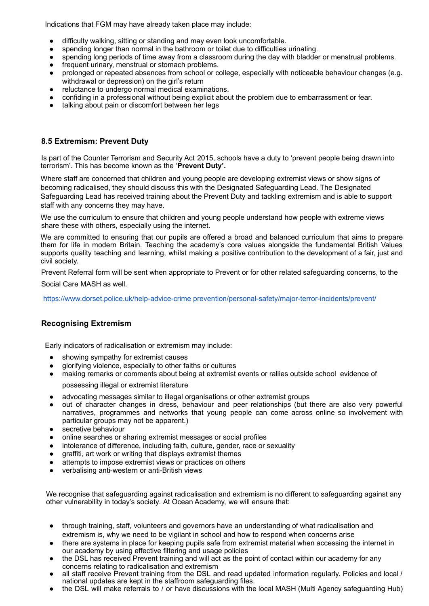Indications that FGM may have already taken place may include:

- difficulty walking, sitting or standing and may even look uncomfortable.
- spending longer than normal in the bathroom or toilet due to difficulties urinating.
- spending long periods of time away from a classroom during the day with bladder or menstrual problems.
- frequent urinary, menstrual or stomach problems.
- prolonged or repeated absences from school or college, especially with noticeable behaviour changes (e.g. withdrawal or depression) on the girl's return
- reluctance to undergo normal medical examinations.
- confiding in a professional without being explicit about the problem due to embarrassment or fear.
- talking about pain or discomfort between her legs

#### **8.5 Extremism: Prevent Duty**

Is part of the Counter Terrorism and Security Act 2015, schools have a duty to 'prevent people being drawn into terrorism'. This has become known as the '**Prevent Duty'.**

Where staff are concerned that children and young people are developing extremist views or show signs of becoming radicalised, they should discuss this with the Designated Safeguarding Lead. The Designated Safeguarding Lead has received training about the Prevent Duty and tackling extremism and is able to support staff with any concerns they may have.

We use the curriculum to ensure that children and young people understand how people with extreme views share these with others, especially using the internet.

We are committed to ensuring that our pupils are offered a broad and balanced curriculum that aims to prepare them for life in modern Britain. Teaching the academy's core values alongside the fundamental British Values supports quality teaching and learning, whilst making a positive contribution to the development of a fair, just and civil society.

Prevent Referral form will be sent when appropriate to Prevent or for other related safeguarding concerns, to the Social Care MASH as well.

https://www.dorset.police.uk/help-advice-crime prevention/personal-safety/major-terror-incidents/prevent/

#### **Recognising Extremism**

Early indicators of radicalisation or extremism may include:

- showing sympathy for extremist causes
- glorifying violence, especially to other faiths or cultures
- making remarks or comments about being at extremist events or rallies outside school evidence of

possessing illegal or extremist literature

- advocating messages similar to illegal organisations or other extremist groups
- out of character changes in dress, behaviour and peer relationships (but there are also very powerful narratives, programmes and networks that young people can come across online so involvement with particular groups may not be apparent.)
- secretive behaviour
- online searches or sharing extremist messages or social profiles
- intolerance of difference, including faith, culture, gender, race or sexuality
- graffiti, art work or writing that displays extremist themes
- attempts to impose extremist views or practices on others
- verbalising anti-western or anti-British views

We recognise that safeguarding against radicalisation and extremism is no different to safeguarding against any other vulnerability in today's society*.* At Ocean Academy, we will ensure that:

- through training, staff, volunteers and governors have an understanding of what radicalisation and extremism is, why we need to be vigilant in school and how to respond when concerns arise
- there are systems in place for keeping pupils safe from extremist material when accessing the internet in our academy by using effective filtering and usage policies
- the DSL has received Prevent training and will act as the point of contact within our academy for any concerns relating to radicalisation and extremism
- all staff receive Prevent training from the DSL and read updated information regularly. Policies and local / national updates are kept in the staffroom safeguarding files.
- the DSL will make referrals to / or have discussions with the local MASH (Multi Agency safeguarding Hub)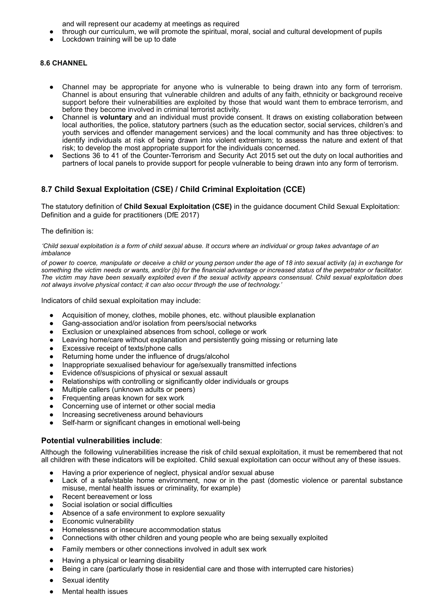and will represent our academy at meetings as required

- through our curriculum, we will promote the spiritual, moral, social and cultural development of pupils
- Lockdown training will be up to date

#### **8.6 CHANNEL**

- Channel may be appropriate for anyone who is vulnerable to being drawn into any form of terrorism. Channel is about ensuring that vulnerable children and adults of any faith, ethnicity or background receive support before their vulnerabilities are exploited by those that would want them to embrace terrorism, and before they become involved in criminal terrorist activity.
- Channel is **voluntary** and an individual must provide consent. It draws on existing collaboration between local authorities, the police, statutory partners (such as the education sector, social services, children's and youth services and offender management services) and the local community and has three objectives: to identify individuals at risk of being drawn into violent extremism; to assess the nature and extent of that risk; to develop the most appropriate support for the individuals concerned.
- Sections 36 to 41 of the Counter-Terrorism and Security Act 2015 set out the duty on local authorities and partners of local panels to provide support for people vulnerable to being drawn into any form of terrorism.

#### **8.7 Child Sexual Exploitation (CSE) / Child Criminal Exploitation (CCE)**

The statutory definition of **Child Sexual Exploitation (CSE)** in the guidance document Child Sexual Exploitation: Definition and a guide for practitioners (DfE 2017)

The definition is:

'Child sexual exploitation is a form of child sexual abuse. It occurs where an individual or group takes advantage of an *imbalance*

of power to coerce, manipulate or deceive a child or young person under the age of 18 into sexual activity (a) in exchange for something the victim needs or wants, and/or (b) for the financial advantage or increased status of the perpetrator or facilitator. The victim may have been sexually exploited even if the sexual activity appears consensual. Child sexual exploitation does *not always involve physical contact; it can also occur through the use of technology.'*

Indicators of child sexual exploitation may include:

- Acquisition of money, clothes, mobile phones, etc. without plausible explanation
- Gang-association and/or isolation from peers/social networks
- Exclusion or unexplained absences from school, college or work
- Leaving home/care without explanation and persistently going missing or returning late
- Excessive receipt of texts/phone calls
- Returning home under the influence of drugs/alcohol
- Inappropriate sexualised behaviour for age/sexually transmitted infections
- Evidence of/suspicions of physical or sexual assault
- Relationships with controlling or significantly older individuals or groups
- Multiple callers (unknown adults or peers)
- Frequenting areas known for sex work
- Concerning use of internet or other social media
- Increasing secretiveness around behaviours
- Self-harm or significant changes in emotional well-being

#### **Potential vulnerabilities include**:

Although the following vulnerabilities increase the risk of child sexual exploitation, it must be remembered that not all children with these indicators will be exploited. Child sexual exploitation can occur without any of these issues.

- Having a prior experience of neglect, physical and/or sexual abuse
- Lack of a safe/stable home environment, now or in the past (domestic violence or parental substance misuse, mental health issues or criminality, for example)
- Recent bereavement or loss
- Social isolation or social difficulties
- Absence of a safe environment to explore sexuality
- **Economic vulnerability**
- Homelessness or insecure accommodation status
- Connections with other children and young people who are being sexually exploited
- Family members or other connections involved in adult sex work
- Having a physical or learning disability
- Being in care (particularly those in residential care and those with interrupted care histories)
- Sexual identity
- **Mental health issues**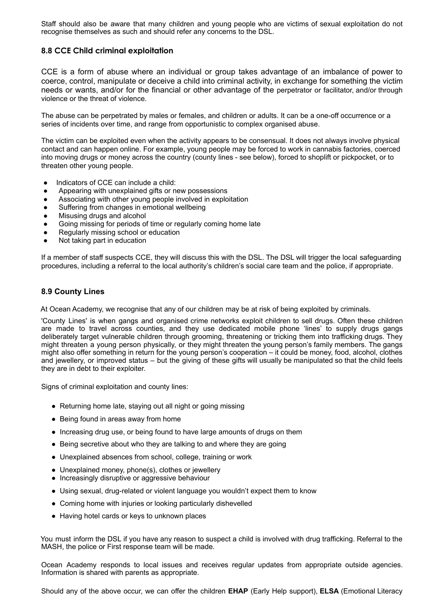Staff should also be aware that many children and young people who are victims of sexual exploitation do not recognise themselves as such and should refer any concerns to the DSL.

#### **8.8 CCE Child criminal exploitation**

CCE is a form of abuse where an individual or group takes advantage of an imbalance of power to coerce, control, manipulate or deceive a child into criminal activity, in exchange for something the victim needs or wants, and/or for the financial or other advantage of the perpetrator or facilitator, and/or through violence or the threat of violence.

The abuse can be perpetrated by males or females, and children or adults. It can be a one-off occurrence or a series of incidents over time, and range from opportunistic to complex organised abuse.

The victim can be exploited even when the activity appears to be consensual. It does not always involve physical contact and can happen online. For example, young people may be forced to work in cannabis factories, coerced into moving drugs or money across the country (county lines - see below), forced to shoplift or pickpocket, or to threaten other young people.

- Indicators of CCE can include a child:
- Appearing with unexplained gifts or new possessions
- Associating with other young people involved in exploitation
- Suffering from changes in emotional wellbeing
- Misusing drugs and alcohol
- Going missing for periods of time or regularly coming home late
- Regularly missing school or education
- Not taking part in education

If a member of staff suspects CCE, they will discuss this with the DSL. The DSL will trigger the local safeguarding procedures, including a referral to the local authority's children's social care team and the police, if appropriate.

#### **8.9 County Lines**

At Ocean Academy, we recognise that any of our children may be at risk of being exploited by criminals.

'County Lines' is when gangs and organised crime networks exploit children to sell drugs. Often these children are made to travel across counties, and they use dedicated mobile phone 'lines' to supply drugs gangs deliberately target vulnerable children through grooming, threatening or tricking them into trafficking drugs. They might threaten a young person physically, or they might threaten the young person's family members. The gangs might also offer something in return for the young person's cooperation – it could be money, food, alcohol, clothes and jewellery, or improved status – but the giving of these gifts will usually be manipulated so that the child feels they are in debt to their exploiter.

Signs of criminal exploitation and county lines:

- Returning home late, staving out all night or going missing
- Being found in areas away from home
- Increasing drug use, or being found to have large amounts of drugs on them
- Being secretive about who they are talking to and where they are going
- Unexplained absences from school, college, training or work
- Unexplained money, phone(s), clothes or jewellery
- Increasingly disruptive or aggressive behaviour
- Using sexual, drug-related or violent language you wouldn't expect them to know
- Coming home with injuries or looking particularly dishevelled
- Having hotel cards or keys to unknown places

You must inform the DSL if you have any reason to suspect a child is involved with drug trafficking. Referral to the MASH, the police or First response team will be made.

Ocean Academy responds to local issues and receives regular updates from appropriate outside agencies. Information is shared with parents as appropriate.

Should any of the above occur, we can offer the children **EHAP** (Early Help support), **ELSA** (Emotional Literacy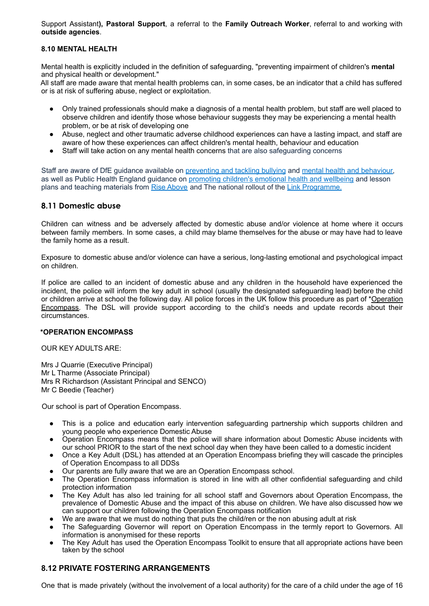Support Assistant**), Pastoral Support**, a referral to the **Family Outreach Worker**, referral to and working with **outside agencies**.

#### **8.10 MENTAL HEALTH**

Mental health is explicitly included in the definition of safeguarding, "preventing impairment of children's **mental** and physical health or development."

All staff are made aware that mental health problems can, in some cases, be an indicator that a child has suffered or is at risk of suffering abuse, neglect or exploitation.

- Only trained professionals should make a diagnosis of a mental health problem, but staff are well placed to observe children and identify those whose behaviour suggests they may be experiencing a mental health problem, or be at risk of developing one
- Abuse, neglect and other traumatic adverse childhood experiences can have a lasting impact, and staff are aware of how these experiences can affect children's mental health, behaviour and education
- Staff will take action on any mental health concerns that are also safeguarding concerns

Staff are aware of DfE guidance available on preventing and tackling bullying and mental health and behaviour, as well as Public Health England guidance on promoting children's emotional health and wellbeing and lesson plans and teaching materials from Rise Above and The national rollout of the Link Programme.

#### **8.11 Domestic abuse**

Children can witness and be adversely affected by domestic abuse and/or violence at home where it occurs between family members. In some cases, a child may blame themselves for the abuse or may have had to leave the family home as a result.

Exposure to domestic abuse and/or violence can have a serious, long-lasting emotional and psychological impact on children.

If police are called to an incident of domestic abuse and any children in the household have experienced the incident, the police will inform the key adult in school (usually the designated safeguarding lead) before the child or children arrive at school the following day. All police forces in the UK follow this procedure as part of [\\*Operation](https://www.operationencompass.org/) [Encompass.](https://www.operationencompass.org/) The DSL will provide support according to the child's needs and update records about their circumstances.

#### **\*OPERATION ENCOMPASS**

#### OUR KEY ADULTS ARE:

Mrs J Quarrie (Executive Principal) Mr L Tharme (Associate Principal) Mrs R Richardson (Assistant Principal and SENCO) Mr C Beedie (Teacher)

Our school is part of Operation Encompass.

- This is a police and education early intervention safeguarding partnership which supports children and young people who experience Domestic Abuse
- Operation Encompass means that the police will share information about Domestic Abuse incidents with our school PRIOR to the start of the next school day when they have been called to a domestic incident
- Once a Key Adult (DSL) has attended at an Operation Encompass briefing they will cascade the principles of Operation Encompass to all DDSs
- Our parents are fully aware that we are an Operation Encompass school.
- The Operation Encompass information is stored in line with all other confidential safeguarding and child protection information
- The Key Adult has also led training for all school staff and Governors about Operation Encompass, the prevalence of Domestic Abuse and the impact of this abuse on children. We have also discussed how we can support our children following the Operation Encompass notification
- We are aware that we must do nothing that puts the child/ren or the non abusing adult at risk
- The Safeguarding Governor will report on Operation Encompass in the termly report to Governors. All information is anonymised for these reports
- The Key Adult has used the Operation Encompass Toolkit to ensure that all appropriate actions have been taken by the school

#### **8.12 PRIVATE FOSTERING ARRANGEMENTS**

One that is made privately (without the involvement of a local authority) for the care of a child under the age of 16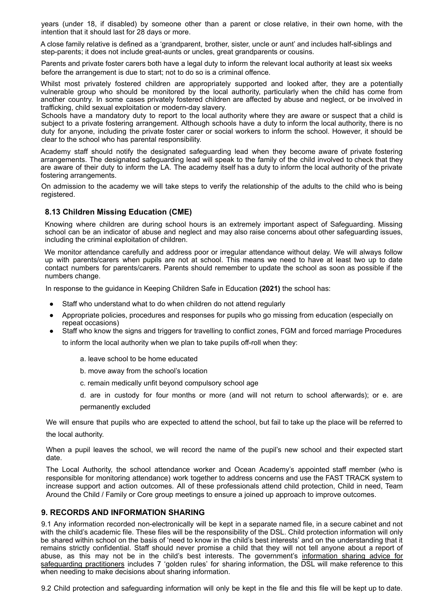years (under 18, if disabled) by someone other than a parent or close relative, in their own home, with the intention that it should last for 28 days or more.

A close family relative is defined as a 'grandparent, brother, sister, uncle or aunt' and includes half-siblings and step-parents; it does not include great-aunts or uncles, great grandparents or cousins.

Parents and private foster carers both have a legal duty to inform the relevant local authority at least six weeks before the arrangement is due to start; not to do so is a criminal offence.

Whilst most privately fostered children are appropriately supported and looked after, they are a potentially vulnerable group who should be monitored by the local authority, particularly when the child has come from another country. In some cases privately fostered children are affected by abuse and neglect, or be involved in trafficking, child sexual exploitation or modern-day slavery.

Schools have a mandatory duty to report to the local authority where they are aware or suspect that a child is subject to a private fostering arrangement. Although schools have a duty to inform the local authority, there is no duty for anyone, including the private foster carer or social workers to inform the school. However, it should be clear to the school who has parental responsibility.

Academy staff should notify the designated safeguarding lead when they become aware of private fostering arrangements. The designated safeguarding lead will speak to the family of the child involved to check that they are aware of their duty to inform the LA. The academy itself has a duty to inform the local authority of the private fostering arrangements.

On admission to the academy we will take steps to verify the relationship of the adults to the child who is being registered.

#### **8.13 Children Missing Education (CME)**

Knowing where children are during school hours is an extremely important aspect of Safeguarding. Missing school can be an indicator of abuse and neglect and may also raise concerns about other safeguarding issues, including the criminal exploitation of children.

We monitor attendance carefully and address poor or irregular attendance without delay. We will always follow up with parents/carers when pupils are not at school. This means we need to have at least two up to date contact numbers for parents/carers. Parents should remember to update the school as soon as possible if the numbers change.

In response to the guidance in Keeping Children Safe in Education **(2021)** the school has:

- Staff who understand what to do when children do not attend regularly
- Appropriate policies, procedures and responses for pupils who go missing from education (especially on repeat occasions)
- Staff who know the signs and triggers for travelling to conflict zones, FGM and forced marriage Procedures to inform the local authority when we plan to take pupils off-roll when they:
	- a. leave school to be home educated
	- b. move away from the school's location
	- c. remain medically unfit beyond compulsory school age

d. are in custody for four months or more (and will not return to school afterwards); or e. are permanently excluded

We will ensure that pupils who are expected to attend the school, but fail to take up the place will be referred to the local authority.

When a pupil leaves the school, we will record the name of the pupil's new school and their expected start

date. The Local Authority, the school attendance worker and Ocean Academy's appointed staff member (who is responsible for monitoring attendance) work together to address concerns and use the FAST TRACK system to increase support and action outcomes. All of these professionals attend child protection, Child in need, Team

Around the Child / Family or Core group meetings to ensure a joined up approach to improve outcomes.

#### **9. RECORDS AND INFORMATION SHARING**

9.1 Any information recorded non-electronically will be kept in a separate named file, in a secure cabinet and not with the child's academic file. These files will be the responsibility of the DSL. Child protection information will only be shared within school on the basis of 'need to know in the child's best interests' and on the understanding that it remains strictly confidential. Staff should never promise a child that they will not tell anyone about a report of abuse, as this may not be in the child's best interests. The government's [information](https://www.gov.uk/government/publications/safeguarding-practitioners-information-sharing-advice) sharing advice for [safeguarding](https://www.gov.uk/government/publications/safeguarding-practitioners-information-sharing-advice) practitioners includes 7 'golden rules' for sharing information, the DSL will make reference to this when needing to make decisions about sharing information.

9.2 Child protection and safeguarding information will only be kept in the file and this file will be kept up to date.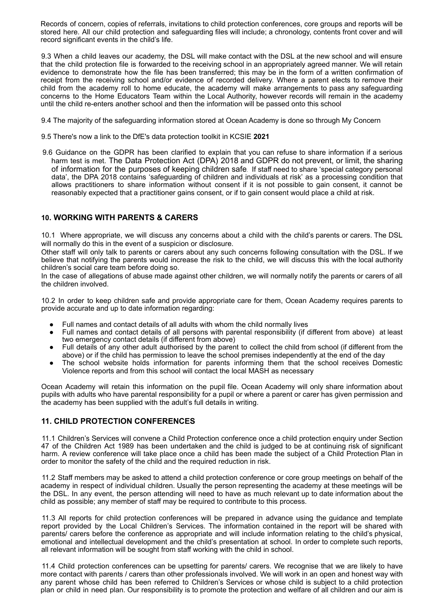Records of concern, copies of referrals, invitations to child protection conferences, core groups and reports will be stored here. All our child protection and safeguarding files will include; a chronology, contents front cover and will record significant events in the child's life.

9.3 When a child leaves our academy, the DSL will make contact with the DSL at the new school and will ensure that the child protection file is forwarded to the receiving school in an appropriately agreed manner. We will retain evidence to demonstrate how the file has been transferred; this may be in the form of a written confirmation of receipt from the receiving school and/or evidence of recorded delivery. Where a parent elects to remove their child from the academy roll to home educate, the academy will make arrangements to pass any safeguarding concerns to the Home Educators Team within the Local Authority, however records will remain in the academy until the child re-enters another school and then the information will be passed onto this school

9.4 The majority of the safeguarding information stored at Ocean Academy is done so through My Concern

- 9.5 There's now a link to the DfE's data protection toolkit in KCSIE **2021**
- 9.6 Guidance on the GDPR has been clarified to explain that you can refuse to share information if a serious harm test is met. The Data Protection Act (DPA) 2018 and GDPR do not prevent, or limit, the sharing of information for the purposes of keeping children safe. If staff need to share 'special category personal data', the DPA 2018 contains 'safeguarding of children and individuals at risk' as a processing condition that allows practitioners to share information without consent if it is not possible to gain consent, it cannot be reasonably expected that a practitioner gains consent, or if to gain consent would place a child at risk.

#### **10. WORKING WITH PARENTS & CARERS**

10.1 Where appropriate, we will discuss any concerns about a child with the child's parents or carers. The DSL will normally do this in the event of a suspicion or disclosure.

Other staff will only talk to parents or carers about any such concerns following consultation with the DSL. If we believe that notifying the parents would increase the risk to the child, we will discuss this with the local authority children's social care team before doing so.

In the case of allegations of abuse made against other children, we will normally notify the parents or carers of all the children involved.

10.2 In order to keep children safe and provide appropriate care for them, Ocean Academy requires parents to provide accurate and up to date information regarding:

- Full names and contact details of all adults with whom the child normally lives
- Full names and contact details of all persons with parental responsibility (if different from above) at least two emergency contact details (if different from above)
- Full details of any other adult authorised by the parent to collect the child from school (if different from the above) or if the child has permission to leave the school premises independently at the end of the day
- The school website holds information for parents informing them that the school receives Domestic Violence reports and from this school will contact the local MASH as necessary

Ocean Academy will retain this information on the pupil file. Ocean Academy will only share information about pupils with adults who have parental responsibility for a pupil or where a parent or carer has given permission and the academy has been supplied with the adult's full details in writing.

#### **11. CHILD PROTECTION CONFERENCES**

11.1 Children's Services will convene a Child Protection conference once a child protection enquiry under Section 47 of the Children Act 1989 has been undertaken and the child is judged to be at continuing risk of significant harm. A review conference will take place once a child has been made the subject of a Child Protection Plan in order to monitor the safety of the child and the required reduction in risk.

11.2 Staff members may be asked to attend a child protection conference or core group meetings on behalf of the academy in respect of individual children. Usually the person representing the academy at these meetings will be the DSL. In any event, the person attending will need to have as much relevant up to date information about the child as possible; any member of staff may be required to contribute to this process.

11.3 All reports for child protection conferences will be prepared in advance using the guidance and template report provided by the Local Children's Services. The information contained in the report will be shared with parents/ carers before the conference as appropriate and will include information relating to the child's physical, emotional and intellectual development and the child's presentation at school. In order to complete such reports, all relevant information will be sought from staff working with the child in school.

11.4 Child protection conferences can be upsetting for parents/ carers. We recognise that we are likely to have more contact with parents / carers than other professionals involved. We will work in an open and honest way with any parent whose child has been referred to Children's Services or whose child is subject to a child protection plan or child in need plan. Our responsibility is to promote the protection and welfare of all children and our aim is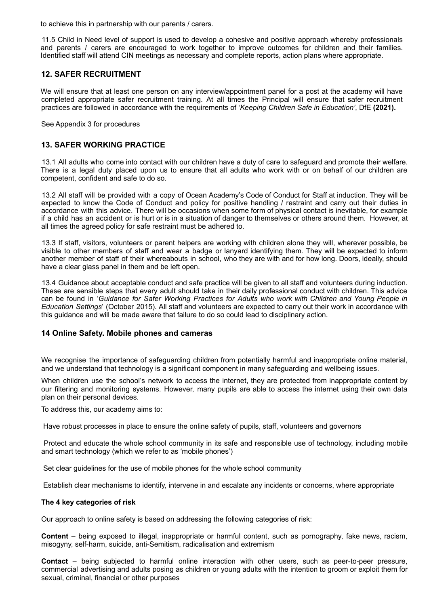to achieve this in partnership with our parents / carers.

11.5 Child in Need level of support is used to develop a cohesive and positive approach whereby professionals and parents / carers are encouraged to work together to improve outcomes for children and their families. Identified staff will attend CIN meetings as necessary and complete reports, action plans where appropriate.

#### **12. SAFER RECRUITMENT**

We will ensure that at least one person on any interview/appointment panel for a post at the academy will have completed appropriate safer recruitment training. At all times the Principal will ensure that safer recruitment practices are followed in accordance with the requirements of *'Keeping Children Safe in Education'*, DfE **(2021).**

See Appendix 3 for procedures

#### **13. SAFER WORKING PRACTICE**

13.1 All adults who come into contact with our children have a duty of care to safeguard and promote their welfare. There is a legal duty placed upon us to ensure that all adults who work with or on behalf of our children are competent, confident and safe to do so.

13.2 All staff will be provided with a copy of Ocean Academy's Code of Conduct for Staff at induction. They will be expected to know the Code of Conduct and policy for positive handling / restraint and carry out their duties in accordance with this advice. There will be occasions when some form of physical contact is inevitable, for example if a child has an accident or is hurt or is in a situation of danger to themselves or others around them. However, at all times the agreed policy for safe restraint must be adhered to.

13.3 If staff, visitors, volunteers or parent helpers are working with children alone they will, wherever possible, be visible to other members of staff and wear a badge or lanyard identifying them. They will be expected to inform another member of staff of their whereabouts in school, who they are with and for how long. Doors, ideally, should have a clear glass panel in them and be left open.

13.4 Guidance about acceptable conduct and safe practice will be given to all staff and volunteers during induction. These are sensible steps that every adult should take in their daily professional conduct with children. This advice can be found in '*Guidance for Safer Working Practices for Adults who work with Children and Young People in Education Settings*' (October 2015). All staff and volunteers are expected to carry out their work in accordance with this guidance and will be made aware that failure to do so could lead to disciplinary action.

#### **14 Online Safety. Mobile phones and cameras**

We recognise the importance of safeguarding children from potentially harmful and inappropriate online material, and we understand that technology is a significant component in many safeguarding and wellbeing issues.

When children use the school's network to access the internet, they are protected from inappropriate content by our filtering and monitoring systems. However, many pupils are able to access the internet using their own data plan on their personal devices.

To address this, our academy aims to:

Have robust processes in place to ensure the online safety of pupils, staff, volunteers and governors

Protect and educate the whole school community in its safe and responsible use of technology, including mobile and smart technology (which we refer to as 'mobile phones')

Set clear guidelines for the use of mobile phones for the whole school community

Establish clear mechanisms to identify, intervene in and escalate any incidents or concerns, where appropriate

#### **The 4 key categories of risk**

Our approach to online safety is based on addressing the following categories of risk:

**Content** – being exposed to illegal, inappropriate or harmful content, such as pornography, fake news, racism, misogyny, self-harm, suicide, anti-Semitism, radicalisation and extremism

**Contact** – being subjected to harmful online interaction with other users, such as peer-to-peer pressure, commercial advertising and adults posing as children or young adults with the intention to groom or exploit them for sexual, criminal, financial or other purposes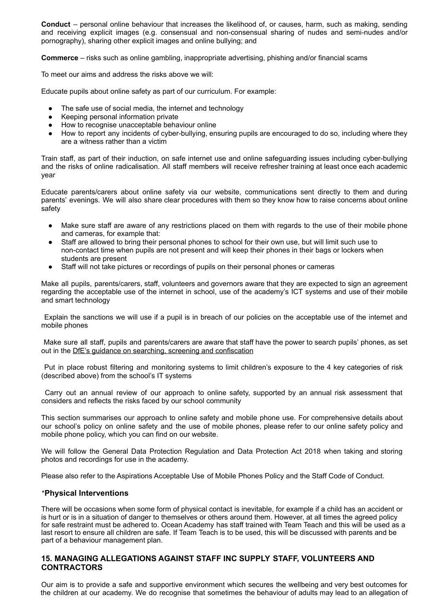**Conduct** – personal online behaviour that increases the likelihood of, or causes, harm, such as making, sending and receiving explicit images (e.g. consensual and non-consensual sharing of nudes and semi-nudes and/or pornography), sharing other explicit images and online bullying; and

**Commerce** – risks such as online gambling, inappropriate advertising, phishing and/or financial scams

To meet our aims and address the risks above we will:

Educate pupils about online safety as part of our curriculum. For example:

- The safe use of social media, the internet and technology
- Keeping personal information private
- How to recognise unacceptable behaviour online
- How to report any incidents of cyber-bullying, ensuring pupils are encouraged to do so, including where they are a witness rather than a victim

Train staff, as part of their induction, on safe internet use and online safeguarding issues including cyber-bullying and the risks of online radicalisation. All staff members will receive refresher training at least once each academic year

Educate parents/carers about online safety via our website, communications sent directly to them and during parents' evenings. We will also share clear procedures with them so they know how to raise concerns about online safety

- Make sure staff are aware of any restrictions placed on them with regards to the use of their mobile phone and cameras, for example that:
- Staff are allowed to bring their personal phones to school for their own use, but will limit such use to non-contact time when pupils are not present and will keep their phones in their bags or lockers when students are present
- Staff will not take pictures or recordings of pupils on their personal phones or cameras

Make all pupils, parents/carers, staff, volunteers and governors aware that they are expected to sign an agreement regarding the acceptable use of the internet in school, use of the academy's ICT systems and use of their mobile and smart technology

Explain the sanctions we will use if a pupil is in breach of our policies on the acceptable use of the internet and mobile phones

Make sure all staff, pupils and parents/carers are aware that staff have the power to search pupils' phones, as set out in the DfE's guidance on searching, screening and [confiscation](https://www.gov.uk/government/publications/searching-screening-and-confiscation)

Put in place robust filtering and monitoring systems to limit children's exposure to the 4 key categories of risk (described above) from the school's IT systems

Carry out an annual review of our approach to online safety, supported by an annual risk assessment that considers and reflects the risks faced by our school community

This section summarises our approach to online safety and mobile phone use. For comprehensive details about our school's policy on online safety and the use of mobile phones, please refer to our online safety policy and mobile phone policy, which you can find on our website.

We will follow the General Data Protection Regulation and Data Protection Act 2018 when taking and storing photos and recordings for use in the academy.

Please also refer to the Aspirations Acceptable Use of Mobile Phones Policy and the Staff Code of Conduct.

#### \***Physical Interventions**

There will be occasions when some form of physical contact is inevitable, for example if a child has an accident or is hurt or is in a situation of danger to themselves or others around them. However, at all times the agreed policy for safe restraint must be adhered to. Ocean Academy has staff trained with Team Teach and this will be used as a last resort to ensure all children are safe. If Team Teach is to be used, this will be discussed with parents and be part of a behaviour management plan.

#### **15. MANAGING ALLEGATIONS AGAINST STAFF INC SUPPLY STAFF, VOLUNTEERS AND CONTRACTORS**

Our aim is to provide a safe and supportive environment which secures the wellbeing and very best outcomes for the children at our academy. We do recognise that sometimes the behaviour of adults may lead to an allegation of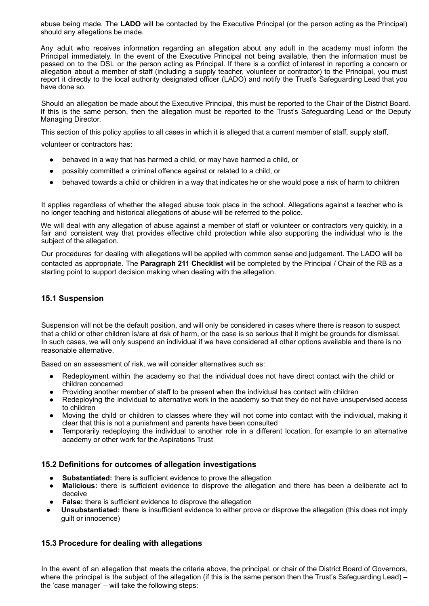abuse being made. The **LADO** will be contacted by the Executive Principal (or the person acting as the Principal) should any allegations be made.

Any adult who receives information regarding an allegation about any adult in the academy must inform the Principal immediately. In the event of the Executive Principal not being available, then the information must be passed on to the DSL or the person acting as Principal. If there is a conflict of interest in reporting a concern or allegation about a member of staff (including a supply teacher, volunteer or contractor) to the Principal, you must report it directly to the local authority designated officer (LADO) and notify the Trust's Safeguarding Lead that you have done so.

Should an allegation be made about the Executive Principal, this must be reported to the Chair of the District Board. If this is the same person, then the allegation must be reported to the Trust's Safeguarding Lead or the Deputy Managing Director.

This section of this policy applies to all cases in which it is alleged that a current member of staff, supply staff,

volunteer or contractors has:

- behaved in a way that has harmed a child, or may have harmed a child, or
- possibly committed a criminal offence against or related to a child, or
- behaved towards a child or children in a way that indicates he or she would pose a risk of harm to children

It applies regardless of whether the alleged abuse took place in the school. Allegations against a teacher who is no longer teaching and historical allegations of abuse will be referred to the police.

We will deal with any allegation of abuse against a member of staff or volunteer or contractors very quickly, in a fair and consistent way that provides effective child protection while also supporting the individual who is the subject of the allegation.

Our procedures for dealing with allegations will be applied with common sense and judgement. The LADO will be contacted as appropriate. The **Paragraph 211 Checklist** will be completed by the Principal / Chair of the RB as a starting point to support decision making when dealing with the allegation.

#### **15.1 Suspension**

Suspension will not be the default position, and will only be considered in cases where there is reason to suspect that a child or other children is/are at risk of harm, or the case is so serious that it might be grounds for dismissal. In such cases, we will only suspend an individual if we have considered all other options available and there is no reasonable alternative.

Based on an assessment of risk, we will consider alternatives such as:

- Redeployment within the academy so that the individual does not have direct contact with the child or children concerned
- Providing another member of staff to be present when the individual has contact with children
- Redeploying the individual to alternative work in the academy so that they do not have unsupervised access to children
- Moving the child or children to classes where they will not come into contact with the individual, making it clear that this is not a punishment and parents have been consulted
- Temporarily redeploying the individual to another role in a different location, for example to an alternative academy or other work for the Aspirations Trust

#### **15.2 Definitions for outcomes of allegation investigations**

- **Substantiated:** there is sufficient evidence to prove the allegation
- **Malicious:** there is sufficient evidence to disprove the allegation and there has been a deliberate act to deceive
- **False:** there is sufficient evidence to disprove the allegation
- **Unsubstantiated:** there is insufficient evidence to either prove or disprove the allegation (this does not imply guilt or innocence)

#### **15.3 Procedure for dealing with allegations**

In the event of an allegation that meets the criteria above, the principal, or chair of the District Board of Governors, where the principal is the subject of the allegation (if this is the same person then the Trust's Safeguarding Lead) the 'case manager' – will take the following steps: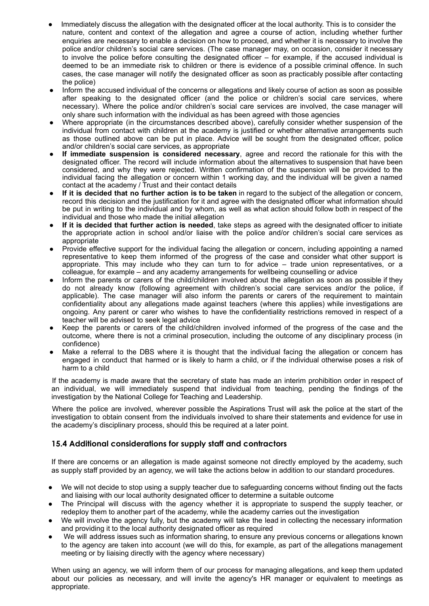- Immediately discuss the allegation with the designated officer at the local authority. This is to consider the nature, content and context of the allegation and agree a course of action, including whether further enquiries are necessary to enable a decision on how to proceed, and whether it is necessary to involve the police and/or children's social care services. (The case manager may, on occasion, consider it necessary to involve the police before consulting the designated officer – for example, if the accused individual is deemed to be an immediate risk to children or there is evidence of a possible criminal offence. In such cases, the case manager will notify the designated officer as soon as practicably possible after contacting the police)
- Inform the accused individual of the concerns or allegations and likely course of action as soon as possible after speaking to the designated officer (and the police or children's social care services, where necessary). Where the police and/or children's social care services are involved, the case manager will only share such information with the individual as has been agreed with those agencies
- Where appropriate (in the circumstances described above), carefully consider whether suspension of the individual from contact with children at the academy is justified or whether alternative arrangements such as those outlined above can be put in place. Advice will be sought from the designated officer, police and/or children's social care services, as appropriate
- **If immediate suspension is considered necessary**, agree and record the rationale for this with the designated officer. The record will include information about the alternatives to suspension that have been considered, and why they were rejected. Written confirmation of the suspension will be provided to the individual facing the allegation or concern within 1 working day, and the individual will be given a named contact at the academy / Trust and their contact details
- **If it is decided that no further action is to be taken** in regard to the subject of the allegation or concern, record this decision and the justification for it and agree with the designated officer what information should be put in writing to the individual and by whom, as well as what action should follow both in respect of the individual and those who made the initial allegation
- **If it is decided that further action is needed**, take steps as agreed with the designated officer to initiate the appropriate action in school and/or liaise with the police and/or children's social care services as appropriate
- Provide effective support for the individual facing the allegation or concern, including appointing a named representative to keep them informed of the progress of the case and consider what other support is appropriate. This may include who they can turn to for advice – trade union representatives, or a colleague, for example – and any academy arrangements for wellbeing counselling or advice
- Inform the parents or carers of the child/children involved about the allegation as soon as possible if they do not already know (following agreement with children's social care services and/or the police, if applicable). The case manager will also inform the parents or carers of the requirement to maintain confidentiality about any allegations made against teachers (where this applies) while investigations are ongoing. Any parent or carer who wishes to have the confidentiality restrictions removed in respect of a teacher will be advised to seek legal advice
- Keep the parents or carers of the child/children involved informed of the progress of the case and the outcome, where there is not a criminal prosecution, including the outcome of any disciplinary process (in confidence)
- Make a referral to the DBS where it is thought that the individual facing the allegation or concern has engaged in conduct that harmed or is likely to harm a child, or if the individual otherwise poses a risk of harm to a child

If the academy is made aware that the secretary of state has made an interim prohibition order in respect of an individual, we will immediately suspend that individual from teaching, pending the findings of the investigation by the National College for Teaching and Leadership.

Where the police are involved, wherever possible the Aspirations Trust will ask the police at the start of the investigation to obtain consent from the individuals involved to share their statements and evidence for use in the academy's disciplinary process, should this be required at a later point.

#### **15.4 Additional considerations for supply staff and contractors**

If there are concerns or an allegation is made against someone not directly employed by the academy, such as supply staff provided by an agency, we will take the actions below in addition to our standard procedures.

- We will not decide to stop using a supply teacher due to safeguarding concerns without finding out the facts and liaising with our local authority designated officer to determine a suitable outcome
- The Principal will discuss with the agency whether it is appropriate to suspend the supply teacher, or redeploy them to another part of the academy, while the academy carries out the investigation
- We will involve the agency fully, but the academy will take the lead in collecting the necessary information and providing it to the local authority designated officer as required
- We will address issues such as information sharing, to ensure any previous concerns or allegations known to the agency are taken into account (we will do this, for example, as part of the allegations management meeting or by liaising directly with the agency where necessary)

When using an agency, we will inform them of our process for managing allegations, and keep them updated about our policies as necessary, and will invite the agency's HR manager or equivalent to meetings as appropriate.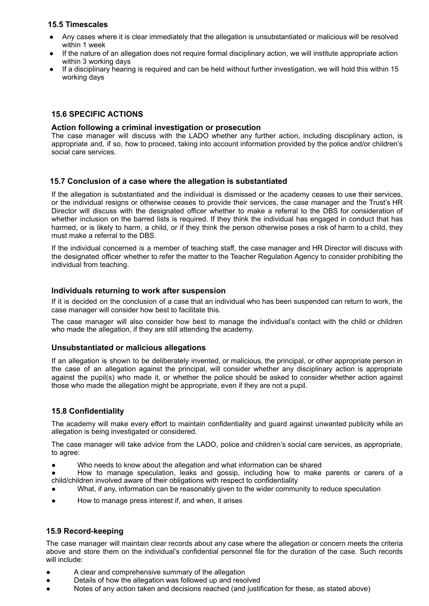#### **15.5 Timescales**

- Any cases where it is clear immediately that the allegation is unsubstantiated or malicious will be resolved within 1 week
- If the nature of an allegation does not require formal disciplinary action, we will institute appropriate action within 3 working days
- If a disciplinary hearing is required and can be held without further investigation, we will hold this within 15 working days

#### **15.6 SPECIFIC ACTIONS**

#### **Action following a criminal investigation or prosecution**

The case manager will discuss with the LADO whether any further action, including disciplinary action, is appropriate and, if so, how to proceed, taking into account information provided by the police and/or children's social care services.

#### **15.7 Conclusion of a case where the allegation is substantiated**

If the allegation is substantiated and the individual is dismissed or the academy ceases to use their services, or the individual resigns or otherwise ceases to provide their services, the case manager and the Trust's HR Director will discuss with the designated officer whether to make a referral to the DBS for consideration of whether inclusion on the barred lists is required. If they think the individual has engaged in conduct that has harmed, or is likely to harm, a child, or if they think the person otherwise poses a risk of harm to a child, they must make a referral to the DBS.

If the individual concerned is a member of teaching staff, the case manager and HR Director will discuss with the designated officer whether to refer the matter to the Teacher Regulation Agency to consider prohibiting the individual from teaching.

#### **Individuals returning to work after suspension**

If it is decided on the conclusion of a case that an individual who has been suspended can return to work, the case manager will consider how best to facilitate this.

The case manager will also consider how best to manage the individual's contact with the child or children who made the allegation, if they are still attending the academy.

#### **Unsubstantiated or malicious allegations**

If an allegation is shown to be deliberately invented, or malicious, the principal, or other appropriate person in the case of an allegation against the principal, will consider whether any disciplinary action is appropriate against the pupil(s) who made it, or whether the police should be asked to consider whether action against those who made the allegation might be appropriate, even if they are not a pupil.

#### **15.8 Confidentiality**

The academy will make every effort to maintain confidentiality and guard against unwanted publicity while an allegation is being investigated or considered.

The case manager will take advice from the LADO, police and children's social care services, as appropriate, to agree:

- Who needs to know about the allegation and what information can be shared
- How to manage speculation, leaks and gossip, including how to make parents or carers of a child/children involved aware of their obligations with respect to confidentiality
- What, if any, information can be reasonably given to the wider community to reduce speculation
- How to manage press interest if, and when, it arises

#### **15.9 Record-keeping**

The case manager will maintain clear records about any case where the allegation or concern meets the criteria above and store them on the individual's confidential personnel file for the duration of the case. Such records will include:

- A clear and comprehensive summary of the allegation
- Details of how the allegation was followed up and resolved
- Notes of any action taken and decisions reached (and justification for these, as stated above)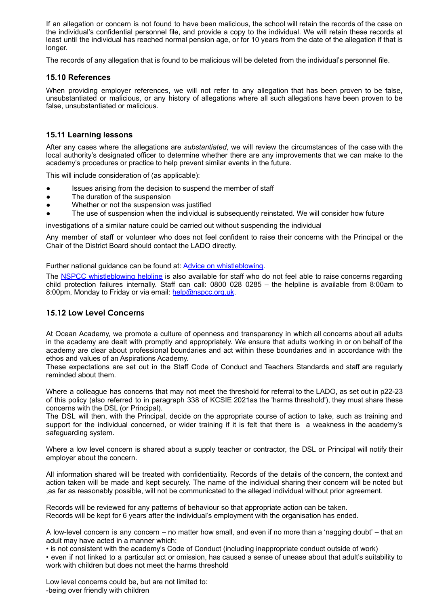If an allegation or concern is not found to have been malicious, the school will retain the records of the case on the individual's confidential personnel file, and provide a copy to the individual. We will retain these records at least until the individual has reached normal pension age, or for 10 years from the date of the allegation if that is longer.

The records of any allegation that is found to be malicious will be deleted from the individual's personnel file.

#### **15.10 References**

When providing employer references, we will not refer to any allegation that has been proven to be false, unsubstantiated or malicious, or any history of allegations where all such allegations have been proven to be false, unsubstantiated or malicious.

#### **15.11 Learning lessons**

After any cases where the allegations are *substantiated*, we will review the circumstances of the case with the local authority's designated officer to determine whether there are any improvements that we can make to the academy's procedures or practice to help prevent similar events in the future.

This will include consideration of (as applicable):

- Issues arising from the decision to suspend the member of staff
- The duration of the suspension
- Whether or not the suspension was justified
- The use of suspension when the individual is subsequently reinstated. We will consider how future

investigations of a similar nature could be carried out without suspending the individual

Any member of staff or volunteer who does not feel confident to raise their concerns with the Principal or the Chair of the District Board should contact the LADO directly.

Further national guidance can be found at: Advice on whistleblowing.

The NSPCC whistleblowing helpline is also available for staff who do not feel able to raise concerns regarding child protection failures internally. Staff can call: 0800 028 0285 – the helpline is available from 8:00am to 8:00pm, Monday to Friday or via email: help@nspcc.org.uk.

#### **15.12 Low Level Concerns**

At Ocean Academy, we promote a culture of openness and transparency in which all concerns about all adults in the academy are dealt with promptly and appropriately. We ensure that adults working in or on behalf of the academy are clear about professional boundaries and act within these boundaries and in accordance with the ethos and values of an Aspirations Academy.

These expectations are set out in the Staff Code of Conduct and Teachers Standards and staff are regularly reminded about them.

Where a colleague has concerns that may not meet the threshold for referral to the LADO, as set out in p22-23 of this policy (also referred to in paragraph 338 of KCSIE 2021as the 'harms threshold'), they must share these concerns with the DSL (or Principal).

The DSL will then, with the Principal, decide on the appropriate course of action to take, such as training and support for the individual concerned, or wider training if it is felt that there is a weakness in the academy's safeguarding system.

Where a low level concern is shared about a supply teacher or contractor, the DSL or Principal will notify their employer about the concern.

All information shared will be treated with confidentiality. Records of the details of the concern, the context and action taken will be made and kept securely. The name of the individual sharing their concern will be noted but ,as far as reasonably possible, will not be communicated to the alleged individual without prior agreement.

Records will be reviewed for any patterns of behaviour so that appropriate action can be taken. Records will be kept for 6 years after the individual's employment with the organisation has ended.

A low-level concern is any concern – no matter how small, and even if no more than a 'nagging doubt' – that an adult may have acted in a manner which:

• is not consistent with the academy's Code of Conduct (including inappropriate conduct outside of work)

• even if not linked to a particular act or omission, has caused a sense of unease about that adult's suitability to work with children but does not meet the harms threshold

Low level concerns could be, but are not limited to: -being over friendly with children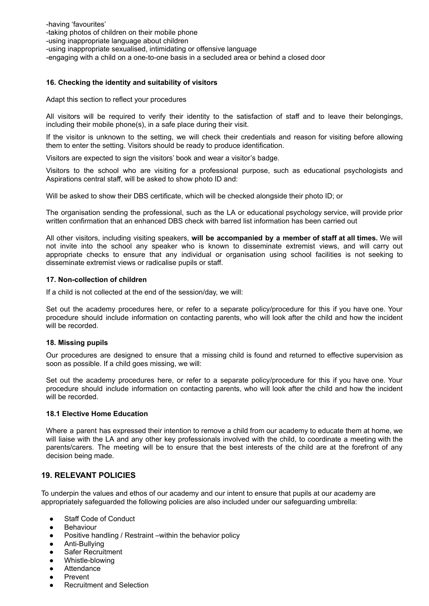-having 'favourites' -taking photos of children on their mobile phone -using inappropriate language about children -using inappropriate sexualised, intimidating or offensive language -engaging with a child on a one-to-one basis in a secluded area or behind a closed door

#### **16. Checking the identity and suitability of visitors**

Adapt this section to reflect your procedures

All visitors will be required to verify their identity to the satisfaction of staff and to leave their belongings, including their mobile phone(s), in a safe place during their visit.

If the visitor is unknown to the setting, we will check their credentials and reason for visiting before allowing them to enter the setting. Visitors should be ready to produce identification.

Visitors are expected to sign the visitors' book and wear a visitor's badge.

Visitors to the school who are visiting for a professional purpose, such as educational psychologists and Aspirations central staff, will be asked to show photo ID and:

Will be asked to show their DBS certificate, which will be checked alongside their photo ID; or

The organisation sending the professional, such as the LA or educational psychology service, will provide prior written confirmation that an enhanced DBS check with barred list information has been carried out

All other visitors, including visiting speakers, **will be accompanied by a member of staff at all times.** We will not invite into the school any speaker who is known to disseminate extremist views, and will carry out appropriate checks to ensure that any individual or organisation using school facilities is not seeking to disseminate extremist views or radicalise pupils or staff.

#### **17. Non-collection of children**

If a child is not collected at the end of the session/day, we will:

Set out the academy procedures here, or refer to a separate policy/procedure for this if you have one. Your procedure should include information on contacting parents, who will look after the child and how the incident will be recorded.

#### **18. Missing pupils**

Our procedures are designed to ensure that a missing child is found and returned to effective supervision as soon as possible. If a child goes missing, we will:

Set out the academy procedures here, or refer to a separate policy/procedure for this if you have one. Your procedure should include information on contacting parents, who will look after the child and how the incident will be recorded.

#### **18.1 Elective Home Education**

Where a parent has expressed their intention to remove a child from our academy to educate them at home, we will liaise with the LA and any other key professionals involved with the child, to coordinate a meeting with the parents/carers. The meeting will be to ensure that the best interests of the child are at the forefront of any decision being made.

#### **19. RELEVANT POLICIES**

To underpin the values and ethos of our academy and our intent to ensure that pupils at our academy are appropriately safeguarded the following policies are also included under our safeguarding umbrella:

- **Staff Code of Conduct**
- **Behaviour**
- Positive handling / Restraint –within the behavior policy
- Anti-Bullving
- **Safer Recruitment**
- Whistle-blowing
- Attendance
- **Prevent**
- **Recruitment and Selection**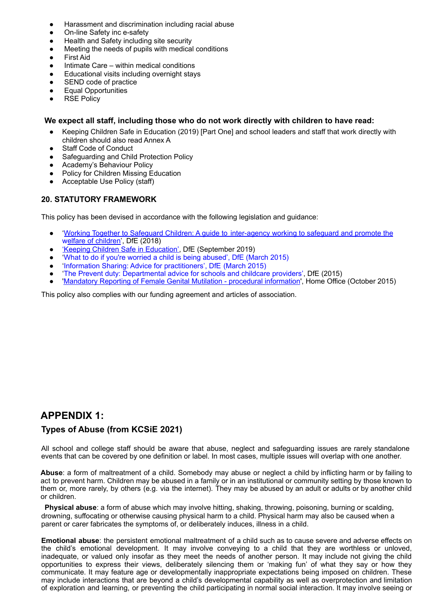- Harassment and discrimination including racial abuse
- On-line Safety inc e-safety
- Health and Safety including site security
- Meeting the needs of pupils with medical conditions
- **First Aid**
- Intimate Care within medical conditions
- Educational visits including overnight stays
- SEND code of practice
- **Equal Opportunities**
- **RSE Policy**

#### **We expect all staff, including those who do not work directly with children to have read:**

- Keeping Children Safe in Education (2019) [Part One] and school leaders and staff that work directly with children should also read Annex A
- **Staff Code of Conduct**
- Safeguarding and Child Protection Policy
- Academy's Behaviour Policy
- **Policy for Children Missing Education**
- Acceptable Use Policy (staff)

#### **20. STATUTORY FRAMEWORK**

This policy has been devised in accordance with the following legislation and guidance:

- 'Working Together to Safeguard Children: A guide to inter-agency working to safeguard and promote the welfare of children', DfE (2018)
- 'Keeping Children Safe in Education', DfE (September 2019)
- 'What to do if you're worried a child is being abused', DfE (March 2015)
- 'Information Sharing: Advice for practitioners', DfE (March 2015)
- 'The Prevent duty: Departmental advice for schools and childcare providers', DfE (2015)
- 'Mandatory Reporting of Female Genital Mutilation procedural information', Home Office (October 2015)

This policy also complies with our funding agreement and articles of association.

# **APPENDIX 1:**

#### **Types of Abuse (from KCSiE 2021)**

All school and college staff should be aware that abuse, neglect and safeguarding issues are rarely standalone events that can be covered by one definition or label. In most cases, multiple issues will overlap with one another.

**Abuse**: a form of maltreatment of a child. Somebody may abuse or neglect a child by inflicting harm or by failing to act to prevent harm. Children may be abused in a family or in an institutional or community setting by those known to them or, more rarely, by others (e.g. via the internet). They may be abused by an adult or adults or by another child or children.

**Physical abuse**: a form of abuse which may involve hitting, shaking, throwing, poisoning, burning or scalding, drowning, suffocating or otherwise causing physical harm to a child. Physical harm may also be caused when a parent or carer fabricates the symptoms of, or deliberately induces, illness in a child.

**Emotional abuse**: the persistent emotional maltreatment of a child such as to cause severe and adverse effects on the child's emotional development. It may involve conveying to a child that they are worthless or unloved, inadequate, or valued only insofar as they meet the needs of another person. It may include not giving the child opportunities to express their views, deliberately silencing them or 'making fun' of what they say or how they communicate. It may feature age or developmentally inappropriate expectations being imposed on children. These may include interactions that are beyond a child's developmental capability as well as overprotection and limitation of exploration and learning, or preventing the child participating in normal social interaction. It may involve seeing or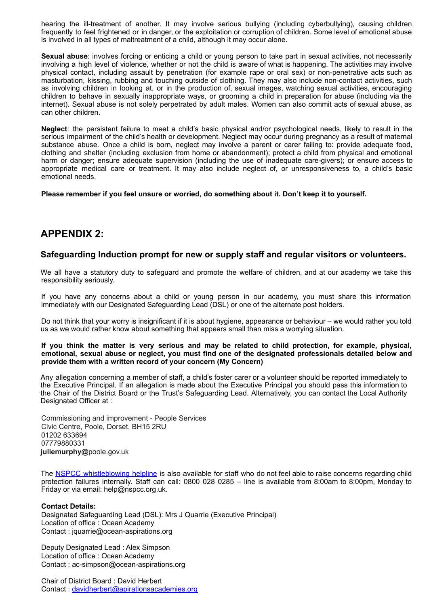hearing the ill-treatment of another. It may involve serious bullying (including cyberbullying), causing children frequently to feel frightened or in danger, or the exploitation or corruption of children. Some level of emotional abuse is involved in all types of maltreatment of a child, although it may occur alone.

**Sexual abuse**: involves forcing or enticing a child or young person to take part in sexual activities, not necessarily involving a high level of violence, whether or not the child is aware of what is happening. The activities may involve physical contact, including assault by penetration (for example rape or oral sex) or non-penetrative acts such as masturbation, kissing, rubbing and touching outside of clothing. They may also include non-contact activities, such as involving children in looking at, or in the production of, sexual images, watching sexual activities, encouraging children to behave in sexually inappropriate ways, or grooming a child in preparation for abuse (including via the internet). Sexual abuse is not solely perpetrated by adult males. Women can also commit acts of sexual abuse, as can other children.

**Neglect**: the persistent failure to meet a child's basic physical and/or psychological needs, likely to result in the serious impairment of the child's health or development. Neglect may occur during pregnancy as a result of maternal substance abuse. Once a child is born, neglect may involve a parent or carer failing to: provide adequate food, clothing and shelter (including exclusion from home or abandonment); protect a child from physical and emotional harm or danger; ensure adequate supervision (including the use of inadequate care-givers); or ensure access to appropriate medical care or treatment. It may also include neglect of, or unresponsiveness to, a child's basic emotional needs.

**Please remember if you feel unsure or worried, do something about it. Don't keep it to yourself.**

### **APPENDIX 2:**

#### **Safeguarding Induction prompt for new or supply staff and regular visitors or volunteers.**

We all have a statutory duty to safeguard and promote the welfare of children, and at our academy we take this responsibility seriously.

If you have any concerns about a child or young person in our academy, you must share this information immediately with our Designated Safeguarding Lead (DSL) or one of the alternate post holders.

Do not think that your worry is insignificant if it is about hygiene, appearance or behaviour – we would rather you told us as we would rather know about something that appears small than miss a worrying situation.

#### If you think the matter is very serious and may be related to child protection, for example, physical, **emotional, sexual abuse or neglect, you must find one of the designated professionals detailed below and provide them with a written record of your concern (My Concern)**

Any allegation concerning a member of staff, a child's foster carer or a volunteer should be reported immediately to the Executive Principal. If an allegation is made about the Executive Principal you should pass this information to the Chair of the District Board or the Trust's Safeguarding Lead. Alternatively, you can contact the Local Authority Designated Officer at :

Commissioning and improvement - People Services Civic Centre, Poole, Dorset, BH15 2RU 01202 633694 07779880331 **juliemurphy@**poole.gov.uk

The NSPCC whistleblowing helpline is also available for staff who do not feel able to raise concerns regarding child protection failures internally. Staff can call: 0800 028 0285 – line is available from 8:00am to 8:00pm, Monday to Friday or via email: help@nspcc.org.uk.

#### **Contact Details:**

Designated Safeguarding Lead (DSL): Mrs J Quarrie (Executive Principal) Location of office : Ocean Academy Contact : jquarrie@ocean-aspirations.org

Deputy Designated Lead : Alex Simpson Location of office : Ocean Academy Contact : ac-simpson@ocean-aspirations.org

Chair of District Board : David Herbert Contact: davidherbert@apirationsacademies.org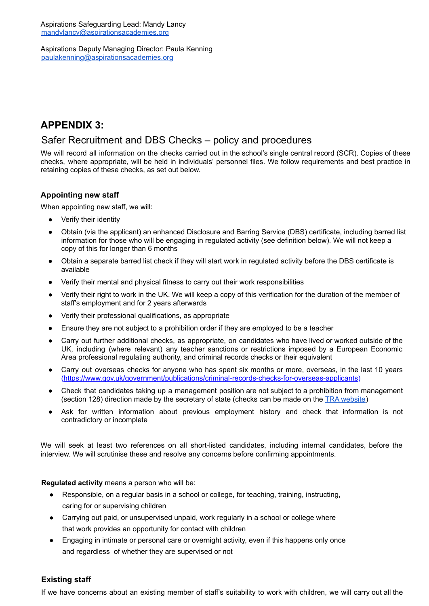Aspirations Deputy Managing Director: Paula Kenning paulakenning@aspirationsacademies.org

## **APPENDIX 3:**

## Safer Recruitment and DBS Checks – policy and procedures

We will record all information on the checks carried out in the school's single central record (SCR). Copies of these checks, where appropriate, will be held in individuals' personnel files. We follow requirements and best practice in retaining copies of these checks, as set out below.

#### **Appointing new staff**

When appointing new staff, we will:

- Verify their identity
- Obtain (via the applicant) an enhanced Disclosure and Barring Service (DBS) certificate, including barred list information for those who will be engaging in regulated activity (see definition below). We will not keep a copy of this for longer than 6 months
- Obtain a separate barred list check if they will start work in regulated activity before the DBS certificate is available
- Verify their mental and physical fitness to carry out their work responsibilities
- Verify their right to work in the UK. We will keep a copy of this verification for the duration of the member of staff's employment and for 2 years afterwards
- Verify their professional qualifications, as appropriate
- Ensure they are not subject to a prohibition order if they are employed to be a teacher
- Carry out further additional checks, as appropriate, on candidates who have lived or worked outside of the UK, including (where relevant) any teacher sanctions or restrictions imposed by a European Economic Area professional regulating authority, and criminal records checks or their equivalent
- Carry out overseas checks for anyone who has spent six months or more, overseas, in the last 10 years [\(https://www.gov.uk/government/publications/criminal-records-checks-for-overseas-applicants\)](https://www.gov.uk/government/publications/criminal-records-checks-for-overseas-applicants)
- Check that candidates taking up a management position are not subject to a prohibition from management (section 128) direction made by the secretary of state (checks can be made on the TRA [website](https://teacherservices.education.gov.uk/))
- Ask for written information about previous employment history and check that information is not contradictory or incomplete

We will seek at least two references on all short-listed candidates, including internal candidates, before the interview. We will scrutinise these and resolve any concerns before confirming appointments.

**Regulated activity** means a person who will be:

- Responsible, on a regular basis in a school or college, for teaching, training, instructing, caring for or supervising children
- Carrying out paid, or unsupervised unpaid, work regularly in a school or college where that work provides an opportunity for contact with children
- Engaging in intimate or personal care or overnight activity, even if this happens only once and regardless of whether they are supervised or not

#### **Existing staff**

If we have concerns about an existing member of staff's suitability to work with children, we will carry out all the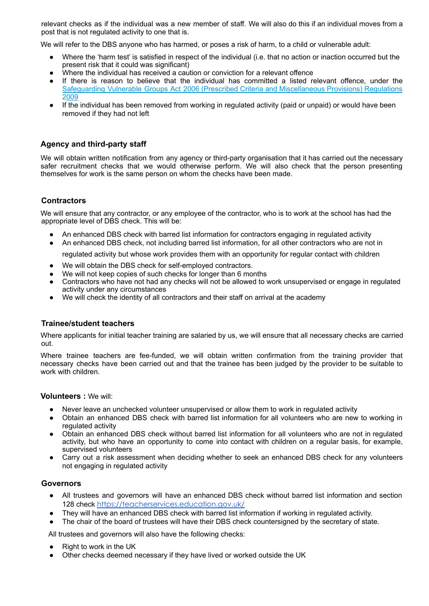relevant checks as if the individual was a new member of staff. We will also do this if an individual moves from a post that is not regulated activity to one that is.

We will refer to the DBS anyone who has harmed, or poses a risk of harm, to a child or vulnerable adult:

- Where the 'harm test' is satisfied in respect of the individual (i.e. that no action or inaction occurred but the present risk that it could was significant)
- Where the individual has received a caution or conviction for a relevant offence
- If there is reason to believe that the individual has committed a listed relevant offence, under the Safeguarding Vulnerable Groups Act 2006 (Prescribed Criteria and Miscellaneous Provisions) Regulations 2009
- If the individual has been removed from working in regulated activity (paid or unpaid) or would have been removed if they had not left

#### **Agency and third-party staff**

We will obtain written notification from any agency or third-party organisation that it has carried out the necessary safer recruitment checks that we would otherwise perform. We will also check that the person presenting themselves for work is the same person on whom the checks have been made.

#### **Contractors**

We will ensure that any contractor, or any employee of the contractor, who is to work at the school has had the appropriate level of DBS check. This will be:

- An enhanced DBS check with barred list information for contractors engaging in regulated activity
- An enhanced DBS check, not including barred list information, for all other contractors who are not in

regulated activity but whose work provides them with an opportunity for regular contact with children

- We will obtain the DBS check for self-employed contractors.
- We will not keep copies of such checks for longer than 6 months
- Contractors who have not had any checks will not be allowed to work unsupervised or engage in regulated activity under any circumstances
- We will check the identity of all contractors and their staff on arrival at the academy

#### **Trainee/student teachers**

Where applicants for initial teacher training are salaried by us, we will ensure that all necessary checks are carried out.

Where trainee teachers are fee-funded, we will obtain written confirmation from the training provider that necessary checks have been carried out and that the trainee has been judged by the provider to be suitable to work with children.

#### **Volunteers :** We will:

- Never leave an unchecked volunteer unsupervised or allow them to work in regulated activity
- Obtain an enhanced DBS check with barred list information for all volunteers who are new to working in regulated activity
- Obtain an enhanced DBS check without barred list information for all volunteers who are not in regulated activity, but who have an opportunity to come into contact with children on a regular basis, for example, supervised volunteers
- Carry out a risk assessment when deciding whether to seek an enhanced DBS check for any volunteers not engaging in regulated activity

#### **Governors**

- All trustees and governors will have an enhanced DBS check without barred list information and section 128 check <https://teacherservices.education.gov.uk/>
- They will have an enhanced DBS check with barred list information if working in regulated activity.
- The chair of the board of trustees will have their DBS check countersigned by the secretary of state.

All trustees and governors will also have the following checks:

- Right to work in the UK
- Other checks deemed necessary if they have lived or worked outside the UK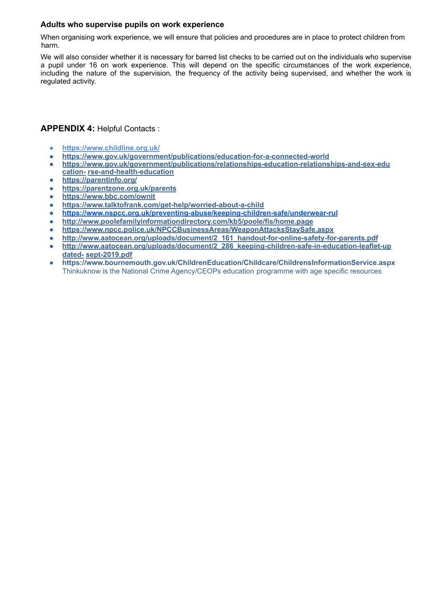#### **Adults who supervise pupils on work experience**

When organising work experience, we will ensure that policies and procedures are in place to protect children from harm.

We will also consider whether it is necessary for barred list checks to be carried out on the individuals who supervise a pupil under 16 on work experience. This will depend on the specific circumstances of the work experience, including the nature of the supervision, the frequency of the activity being supervised, and whether the work is regulated activity.

#### **APPENDIX 4:** Helpful Contacts :

- **● https://www.childline.org.uk/**
- **● https://www.gov.uk/government/publications/education-for-a-connected-world**
- **● https://www.gov.uk/government/publications/relationships-education-relationships-and-sex-edu cation- rse-and-health-education**
- **● https://parentinfo.org/**
- **● https://parentzone.org.uk/parents**
- **● https://www.bbc.com/ownit**
- **● https://www.talktofrank.com/get-help/worried-about-a-child**
- **● <https://www.nspcc.org.uk/preventing-abuse/keeping-children-safe/underwear-rul>**
- **● http://www.poolefamilyinformationdirectory.com/kb5/poole/fis/home.page**
- **● https://www.npcc.police.uk/NPCCBusinessAreas/WeaponAttacksStaySafe.aspx**
- **● http://www.aatocean.org/uploads/document/2\_161\_handout-for-online-safety-for-parents.pdf**
- http://www.aatocean.org/uploads/document/2\_286\_keeping-children-safe-in-education-leaflet-up **dated- sept-2019.pdf**
- **https://www.bournemouth.gov.uk/ChildrenEducation/Childcare/ChildrensInformationService.aspx** Thinkuknow is the National Crime Agency/CEOPs education programme with age specific resources